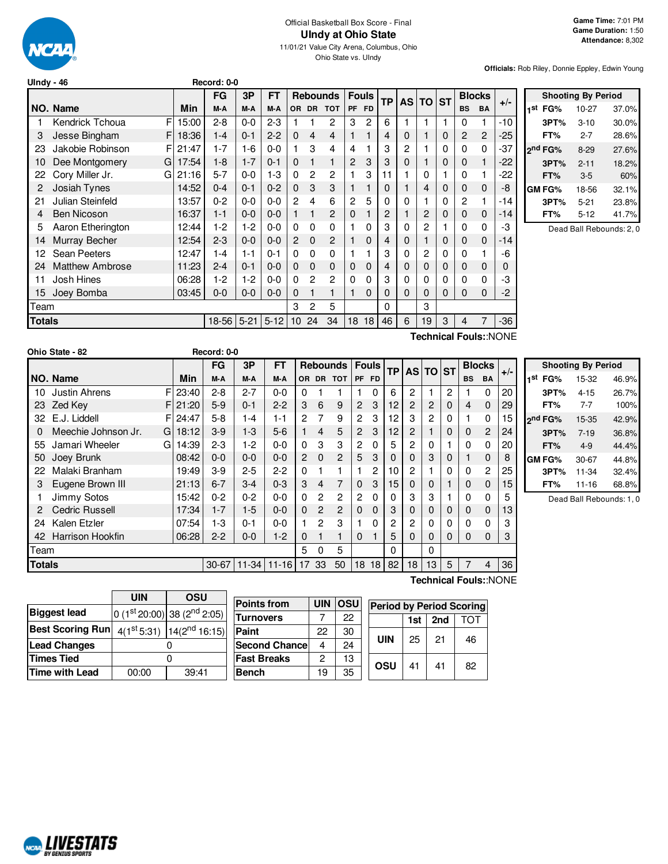

# Official Basketball Box Score - Final **UIndy at Ohio State**

11/01/21 Value City Arena, Columbus, Ohio Ohio State vs. UIndy

**Officials:** Rob Riley, Donnie Eppley, Edwin Young

| ,,,,,,        |                        |       |           |          |          |                |           |                 |           |              |           |           |           |             |           |               |                       |
|---------------|------------------------|-------|-----------|----------|----------|----------------|-----------|-----------------|-----------|--------------|-----------|-----------|-----------|-------------|-----------|---------------|-----------------------|
|               |                        |       | FG        | 3P       | FT       |                |           | <b>Rebounds</b> |           | <b>Fouls</b> | <b>TP</b> | <b>AS</b> | <b>TO</b> | <b>ST</b>   |           | <b>Blocks</b> | $+/-$                 |
|               | NO. Name               | Min   | M-A       | M-A      | M-A      | 0R             | <b>DR</b> | <b>TOT</b>      | <b>PF</b> | <b>FD</b>    |           |           |           |             | <b>BS</b> | <b>BA</b>     |                       |
|               | FI<br>Kendrick Tchoua  | 15:00 | $2 - 8$   | $0-0$    | $2 - 3$  |                |           | 2               | 3         | 2            | 6         |           |           | 1           | 0         |               | -10                   |
| 3             | Jesse Bingham<br>F.    | 18:36 | $1 - 4$   | $0 - 1$  | $2 - 2$  | 0              | 4         | 4               | 1         | 1            | 4         | 0         | 1         | $\Omega$    | 2         | 2             | -25                   |
| 23            | Jakobie Robinson<br>FI | 21:47 | $1 - 7$   | 1-6      | $0 - 0$  |                | 3         | 4               | 4         |              | 3         | 2         |           | 0           | 0         | 0             | -37                   |
| 10            | Dee Montgomery<br>G    | 17:54 | $1-8$     | $1 - 7$  | $0 - 1$  | 0              |           | 1               | 2         | 3            | 3         | 0         | 1         | 0           | 0         |               | -22                   |
| 22            | Cory Miller Jr.<br>G   | 21:16 | $5 - 7$   | $0 - 0$  | $1-3$    | $\Omega$       | 2         | 2               | 1         | 3            | 11        |           | 0         |             | 0         |               | -22                   |
| 2             | Josiah Tynes           | 14:52 | $0 - 4$   | $0 - 1$  | $0 - 2$  | $\Omega$       | 3         | 3               | 1         | 1            | 0         |           | 4         | $\Omega$    | 0         | 0             | -8                    |
| 21            | Julian Steinfeld       | 13:57 | $0 - 2$   | $0-0$    | $0-0$    | $\overline{2}$ | 4         | 6               | 2         | 5            | 0         | 0         |           | $\Omega$    | 2         |               | -14                   |
| 4             | <b>Ben Nicoson</b>     | 16:37 | $1 - 1$   | $0-0$    | $0 - 0$  |                |           | 2               | 0         |              | 2         | 1         | 2         | $\mathbf 0$ | 0         | 0             | -14                   |
| 5             | Aaron Etherington      | 12:44 | $1-2$     | $1-2$    | 0-0      | 0              | 0         | 0               |           | 0            | 3         | 0         | 2         |             | 0         | 0             | -3                    |
| 14            | Murray Becher          | 12:54 | $2 - 3$   | $0 - 0$  | $0 - 0$  | $\overline{2}$ | 0         | $\overline{2}$  |           | 0            | 4         | 0         | 1         | 0           | 0         | 0             | -14                   |
| 12            | <b>Sean Peeters</b>    | 12:47 | 1-4       | 1-1      | $0 - 1$  | 0              | 0         | 0               |           |              | 3         | 0         | 2         | 0           | 0         |               | -6                    |
| 24            | <b>Matthew Ambrose</b> | 11:23 | $2 - 4$   | $0 - 1$  | $0 - 0$  | 0              | 0         | 0               | 0         | 0            | 4         | 0         | 0         | $\mathbf 0$ | 0         | 0             | 0                     |
| 11            | Josh Hines             | 06:28 | $1-2$     | $1-2$    | $0 - 0$  | 0              | 2         | $\overline{c}$  | 0         | 0            | 3         | 0         | 0         | 0           | 0         | 0             | -3                    |
| 15            | Joey Bomba             | 03:45 | $0 - 0$   | $0 - 0$  | $0 - 0$  | 0              |           | 1               | 1         | 0            | 0         | 0         | 0         | $\Omega$    | 0         | 0             | $-2$                  |
| Team          |                        |       |           |          |          | 3              | 2         | 5               |           |              | 0         |           | 3         |             |           |               |                       |
| <b>Totals</b> |                        |       | $18 - 56$ | $5 - 21$ | $5 - 12$ | 10             | 24        | 34              | 18        | 18           | 46        | 6         | 19        | 3           | 4         | 7             | -36                   |
|               |                        |       |           |          |          |                |           |                 |           |              |           |           |           |             |           |               | Technical Fouls::NONE |

**Shooting By Period 1 st FG%** 10-27 37.0% **3PT%** 3-10 30.0% **FT%** 2-7 28.6% **2 nd FG%** 8-29 27.6% **3PT%** 2-11 18.2% **FT%** 3-5 60% **GM FG%** 18-56 32.1% **3PT%** 5-21 23.8% **FT%** 5-12 41.7%

Dead Ball Rebounds: 2, 0

|               | Ohio State - 82         |    |          | Record: 0-0 |         |                 |                |                |                 |                       |              |    |                |          |          |           |                |       |                 |
|---------------|-------------------------|----|----------|-------------|---------|-----------------|----------------|----------------|-----------------|-----------------------|--------------|----|----------------|----------|----------|-----------|----------------|-------|-----------------|
|               |                         |    |          | <b>FG</b>   | 3P      | <b>FT</b>       |                |                | <b>Rebounds</b> |                       | <b>Fouls</b> | TP |                | AS TO ST |          |           | <b>Blocks</b>  |       |                 |
|               | NO. Name                |    | Min      | M-A         | M-A     | M-A             | <b>OR</b>      | <b>DR</b>      | <b>TOT</b>      |                       | PF FD        |    |                |          |          | <b>BS</b> | <b>BA</b>      | $+/-$ | 1st             |
| 10            | Justin Ahrens           | FI | 23:40    | $2 - 8$     | $2 - 7$ | $0 - 0$         | 0              |                |                 |                       | $\Omega$     | 6  | $\overline{c}$ |          | 2        |           | $\Omega$       | 20    |                 |
| 23            | Zed Key                 |    | F121:20  | $5-9$       | $0 - 1$ | $2 - 2$         | 3              | 6              | 9               | $\overline{2}$        | 3            | 12 | $\overline{c}$ | 2        | 0        | 4         | $\Omega$       | 29    |                 |
| 32            | E.J. Liddell            |    | FI 24:47 | $5 - 8$     | 1-4     | $1 - 1$         | 2              | 7              | 9               | $\overline{2}$        | 3            | 12 | 3              | 2        | 0        |           | $\Omega$       | 15    | <sub>2</sub> nc |
| 0             | Meechie Johnson Jr.     | GI | 18:12    | $3-9$       | $1-3$   | $5-6$           |                | 4              | 5               | $\mathbf{2}^{\prime}$ | 3            | 12 | $\overline{2}$ |          | 0        | $\Omega$  | $\overline{2}$ | 24    |                 |
| 55            | Jamari Wheeler          | G  | 14:39    | $2 - 3$     | $1-2$   | $0 - 0$         | $\Omega$       | 3              | 3               | $\overline{c}$        | 0            | 5  | 2              | 0        |          | 0         | $\Omega$       | 20    |                 |
| 50            | Joey Brunk              |    | 08:42    | $0 - 0$     | $0-0$   | $0 - 0$         | $\overline{2}$ | $\Omega$       | $\overline{2}$  | 5                     | 3            | 0  | $\mathbf{0}$   | 3        | 0        |           | $\Omega$       | 8     | GN              |
| 22            | Malaki Branham          |    | 19:49    | $3-9$       | $2 - 5$ | $2 - 2$         | $\Omega$       |                |                 |                       | 2            | 10 | 2              |          | 0        | 0         | $\overline{2}$ | 25    |                 |
| 3             | Eugene Brown III        |    | 21:13    | $6 - 7$     | $3 - 4$ | $0 - 3$         | 3              | 4              | 7               | $\mathbf{0}$          | 3            | 15 | $\mathbf 0$    | 0        |          | 0         | 0              | 15    |                 |
|               | Jimmy Sotos             |    | 15:42    | $0 - 2$     | $0 - 2$ | $0-0$           | 0              | $\overline{2}$ | 2               | 2                     | 0            | 0  | 3              | 3        |          | 0         | $\Omega$       | 5     |                 |
| 2             | <b>Cedric Russell</b>   |    | 17:34    | $1 - 7$     | $1-5$   | $0 - 0$         | $\Omega$       | $\overline{2}$ | $\overline{2}$  | $\Omega$              | $\Omega$     | 3  | $\mathbf 0$    | 0        | 0        | $\Omega$  | $\Omega$       | 13    |                 |
| 24            | Kalen Etzler            |    | 07:54    | $1-3$       | $0 - 1$ | $0 - 0$         |                | 2              | 3               |                       | 0            | 2  | 2              | 0        | 0        | 0         | $\Omega$       | 3     |                 |
| 42            | <b>Harrison Hookfin</b> |    | 06:28    | $2 - 2$     | $0-0$   | $1-2$           | 0              |                | $\mathbf{1}$    | $\Omega$              |              | 5  | $\Omega$       | 0        | $\Omega$ | $\Omega$  | $\Omega$       | 3     |                 |
| Team          |                         |    |          |             |         |                 | 5              | 0              | 5               |                       |              | 0  |                | 0        |          |           |                |       |                 |
| <b>Totals</b> |                         |    |          | $30 - 67$   |         | $11-34$   11-16 | 17             | 33             | 50              | 18                    | 18           | 82 | 18             | 13       | 5        | 7         | 4              | 36    |                 |

**Shooting By Period st FG%** 15-32 46.9% **3PT%** 4-15 26.7% **FT%** 7-7 100% **nd FG%** 15-35 42.9% **3PT%** 7-19 36.8% **FT%** 4-9 44.4% **GM FG%** 30-67 44.8% **3PT%** 11-34 32.4% **FT%** 11-16 68.8%

Dead Ball Rebounds: 1, 0

|                         | UIN   | OSU                                       |
|-------------------------|-------|-------------------------------------------|
| <b>Biggest lead</b>     |       | 0 $(1st 20:00)$ 38 $(2nd 2:05)$           |
| <b>Best Scoring Run</b> |       | $4(1^{st}5:31)$ 14(2 <sup>nd</sup> 16:15) |
| <b>Lead Changes</b>     |       |                                           |
| Times Tied              |       |                                           |
| Time with Lead          | 00:00 | 39:41                                     |

| <b>Points from</b>    | <b>UIN</b> | <b>OSU</b> | <b>Period by Period Scoring</b> |     |     |     |
|-----------------------|------------|------------|---------------------------------|-----|-----|-----|
| <b>Turnovers</b>      |            | 22         |                                 | 1st | 2nd | ררז |
| Paint                 | 22         | 30         |                                 |     |     |     |
| <b>Second Chancel</b> | 4          | 24         | <b>UIN</b>                      | 25  | 21  | 46  |
| <b>Fast Breaks</b>    | 2          | 13         | OSU                             | 41  | 41  | 82  |
| <b>Bench</b>          | 19         | 35         |                                 |     |     |     |

**Technical Fouls:**:NONE

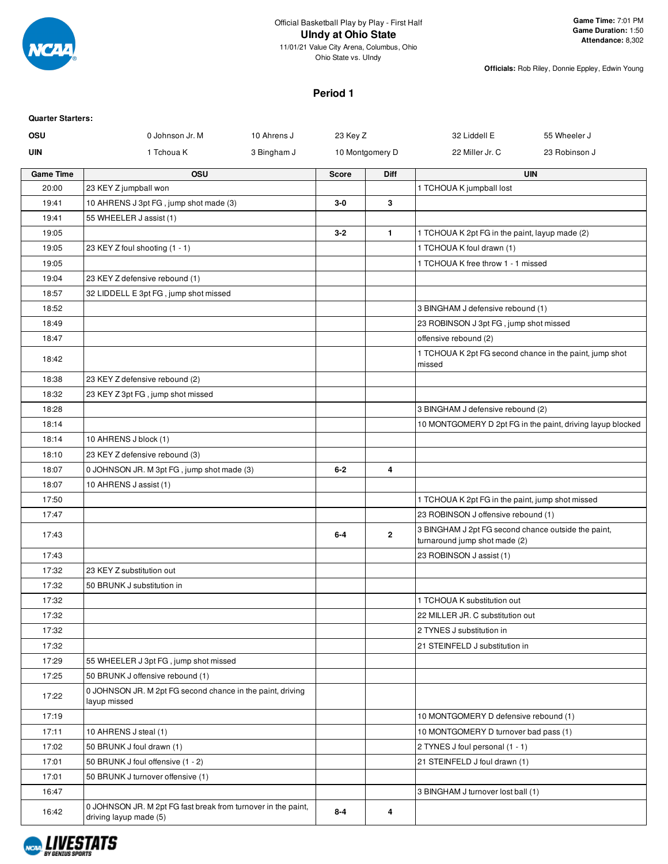

### **Period 1**

| <b>Quarter Starters:</b> |                                                                                         |             |              |                 |                                                                                      |                                                            |
|--------------------------|-----------------------------------------------------------------------------------------|-------------|--------------|-----------------|--------------------------------------------------------------------------------------|------------------------------------------------------------|
| OSU                      | 0 Johnson Jr. M                                                                         | 10 Ahrens J | 23 Key Z     |                 | 32 Liddell E                                                                         | 55 Wheeler J                                               |
| <b>UIN</b>               | 1 Tchoua K                                                                              | 3 Bingham J |              | 10 Montgomery D | 22 Miller Jr. C                                                                      | 23 Robinson J                                              |
| <b>Game Time</b>         | <b>OSU</b>                                                                              |             | <b>Score</b> | Diff            |                                                                                      | <b>UIN</b>                                                 |
| 20:00                    | 23 KEY Z jumpball won                                                                   |             |              |                 | 1 TCHOUA K jumpball lost                                                             |                                                            |
| 19:41                    | 10 AHRENS J 3pt FG, jump shot made (3)                                                  |             | $3-0$        | 3               |                                                                                      |                                                            |
| 19:41                    | 55 WHEELER J assist (1)                                                                 |             |              |                 |                                                                                      |                                                            |
| 19:05                    |                                                                                         |             | $3 - 2$      | $\mathbf{1}$    | 1 TCHOUA K 2pt FG in the paint, layup made (2)                                       |                                                            |
| 19:05                    | 23 KEY Z foul shooting (1 - 1)                                                          |             |              |                 | 1 TCHOUA K foul drawn (1)                                                            |                                                            |
| 19:05                    |                                                                                         |             |              |                 | 1 TCHOUA K free throw 1 - 1 missed                                                   |                                                            |
| 19:04                    | 23 KEY Z defensive rebound (1)                                                          |             |              |                 |                                                                                      |                                                            |
| 18:57                    | 32 LIDDELL E 3pt FG, jump shot missed                                                   |             |              |                 |                                                                                      |                                                            |
| 18:52                    |                                                                                         |             |              |                 | 3 BINGHAM J defensive rebound (1)                                                    |                                                            |
| 18:49                    |                                                                                         |             |              |                 | 23 ROBINSON J 3pt FG, jump shot missed                                               |                                                            |
| 18:47                    |                                                                                         |             |              |                 | offensive rebound (2)                                                                |                                                            |
| 18:42                    |                                                                                         |             |              |                 | 1 TCHOUA K 2pt FG second chance in the paint, jump shot<br>missed                    |                                                            |
| 18:38                    | 23 KEY Z defensive rebound (2)                                                          |             |              |                 |                                                                                      |                                                            |
| 18:32                    | 23 KEY Z 3pt FG, jump shot missed                                                       |             |              |                 |                                                                                      |                                                            |
| 18:28                    |                                                                                         |             |              |                 | 3 BINGHAM J defensive rebound (2)                                                    |                                                            |
| 18:14                    |                                                                                         |             |              |                 |                                                                                      | 10 MONTGOMERY D 2pt FG in the paint, driving layup blocked |
| 18:14                    | 10 AHRENS J block (1)                                                                   |             |              |                 |                                                                                      |                                                            |
| 18:10                    | 23 KEY Z defensive rebound (3)                                                          |             |              |                 |                                                                                      |                                                            |
| 18:07                    | 0 JOHNSON JR. M 3pt FG, jump shot made (3)                                              |             | $6-2$        | 4               |                                                                                      |                                                            |
| 18:07                    | 10 AHRENS J assist (1)                                                                  |             |              |                 |                                                                                      |                                                            |
| 17:50                    |                                                                                         |             |              |                 | 1 TCHOUA K 2pt FG in the paint, jump shot missed                                     |                                                            |
| 17:47                    |                                                                                         |             |              |                 | 23 ROBINSON J offensive rebound (1)                                                  |                                                            |
| 17:43                    |                                                                                         |             | $6-4$        | $\mathbf{2}$    | 3 BINGHAM J 2pt FG second chance outside the paint,<br>turnaround jump shot made (2) |                                                            |
| 17:43                    |                                                                                         |             |              |                 | 23 ROBINSON J assist (1)                                                             |                                                            |
| 17:32                    | 23 KEY Z substitution out                                                               |             |              |                 |                                                                                      |                                                            |
| 17:32                    | 50 BRUNK J substitution in                                                              |             |              |                 |                                                                                      |                                                            |
| 17:32                    |                                                                                         |             |              |                 | 1 TCHOUA K substitution out                                                          |                                                            |
| 17:32                    |                                                                                         |             |              |                 | 22 MILLER JR. C substitution out                                                     |                                                            |
| 17:32                    |                                                                                         |             |              |                 | 2 TYNES J substitution in                                                            |                                                            |
| 17:32                    |                                                                                         |             |              |                 | 21 STEINFELD J substitution in                                                       |                                                            |
| 17:29                    | 55 WHEELER J 3pt FG, jump shot missed                                                   |             |              |                 |                                                                                      |                                                            |
| 17:25                    | 50 BRUNK J offensive rebound (1)                                                        |             |              |                 |                                                                                      |                                                            |
| 17:22                    | 0 JOHNSON JR. M 2pt FG second chance in the paint, driving<br>layup missed              |             |              |                 |                                                                                      |                                                            |
| 17:19                    |                                                                                         |             |              |                 | 10 MONTGOMERY D defensive rebound (1)                                                |                                                            |
| 17:11                    | 10 AHRENS J steal (1)                                                                   |             |              |                 | 10 MONTGOMERY D turnover bad pass (1)                                                |                                                            |
| 17:02                    | 50 BRUNK J foul drawn (1)                                                               |             |              |                 | 2 TYNES J foul personal (1 - 1)                                                      |                                                            |
| 17:01                    | 50 BRUNK J foul offensive (1 - 2)                                                       |             |              |                 | 21 STEINFELD J foul drawn (1)                                                        |                                                            |
| 17:01                    | 50 BRUNK J turnover offensive (1)                                                       |             |              |                 |                                                                                      |                                                            |
| 16:47                    |                                                                                         |             |              |                 | 3 BINGHAM J turnover lost ball (1)                                                   |                                                            |
| 16:42                    | 0 JOHNSON JR. M 2pt FG fast break from turnover in the paint,<br>driving layup made (5) |             | $8 - 4$      | 4               |                                                                                      |                                                            |

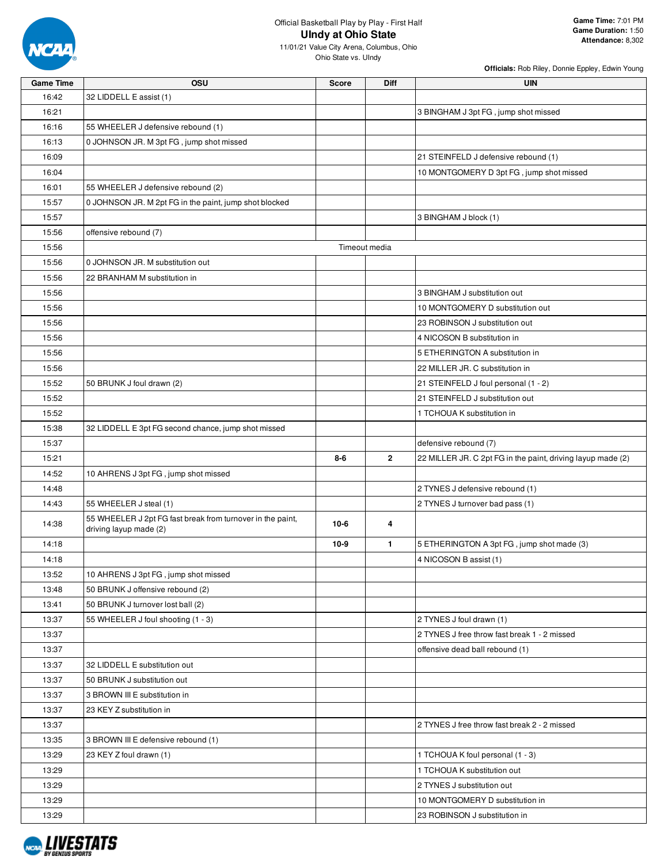

| <b>Game Time</b> | OSU                                                                                  | <b>Score</b> | Diff          | <b>UIN</b>                                                  |
|------------------|--------------------------------------------------------------------------------------|--------------|---------------|-------------------------------------------------------------|
| 16:42            | 32 LIDDELL E assist (1)                                                              |              |               |                                                             |
| 16:21            |                                                                                      |              |               | 3 BINGHAM J 3pt FG, jump shot missed                        |
| 16:16            | 55 WHEELER J defensive rebound (1)                                                   |              |               |                                                             |
| 16:13            | 0 JOHNSON JR. M 3pt FG, jump shot missed                                             |              |               |                                                             |
| 16:09            |                                                                                      |              |               | 21 STEINFELD J defensive rebound (1)                        |
| 16:04            |                                                                                      |              |               | 10 MONTGOMERY D 3pt FG, jump shot missed                    |
| 16:01            | 55 WHEELER J defensive rebound (2)                                                   |              |               |                                                             |
| 15:57            | 0 JOHNSON JR. M 2pt FG in the paint, jump shot blocked                               |              |               |                                                             |
| 15:57            |                                                                                      |              |               | 3 BINGHAM J block (1)                                       |
| 15:56            | offensive rebound (7)                                                                |              |               |                                                             |
| 15:56            |                                                                                      |              | Timeout media |                                                             |
| 15:56            | 0 JOHNSON JR. M substitution out                                                     |              |               |                                                             |
| 15:56            | 22 BRANHAM M substitution in                                                         |              |               |                                                             |
| 15:56            |                                                                                      |              |               | 3 BINGHAM J substitution out                                |
| 15:56            |                                                                                      |              |               | 10 MONTGOMERY D substitution out                            |
| 15:56            |                                                                                      |              |               | 23 ROBINSON J substitution out                              |
| 15:56            |                                                                                      |              |               | 4 NICOSON B substitution in                                 |
| 15:56            |                                                                                      |              |               | 5 ETHERINGTON A substitution in                             |
| 15:56            |                                                                                      |              |               | 22 MILLER JR. C substitution in                             |
| 15:52            | 50 BRUNK J foul drawn (2)                                                            |              |               | 21 STEINFELD J foul personal (1 - 2)                        |
| 15:52            |                                                                                      |              |               | 21 STEINFELD J substitution out                             |
| 15:52            |                                                                                      |              |               | 1 TCHOUA K substitution in                                  |
| 15:38            | 32 LIDDELL E 3pt FG second chance, jump shot missed                                  |              |               |                                                             |
| 15:37            |                                                                                      |              |               | defensive rebound (7)                                       |
| 15:21            |                                                                                      | 8-6          | $\mathbf{2}$  | 22 MILLER JR. C 2pt FG in the paint, driving layup made (2) |
| 14:52            | 10 AHRENS J 3pt FG, jump shot missed                                                 |              |               |                                                             |
| 14:48            |                                                                                      |              |               | 2 TYNES J defensive rebound (1)                             |
| 14:43            | 55 WHEELER J steal (1)                                                               |              |               | 2 TYNES J turnover bad pass (1)                             |
| 14:38            | 55 WHEELER J 2pt FG fast break from turnover in the paint,<br>driving layup made (2) | $10-6$       | 4             |                                                             |
| 14:18            |                                                                                      | $10 - 9$     | $\mathbf{1}$  | 5 ETHERINGTON A 3pt FG, jump shot made (3)                  |
| 14:18            |                                                                                      |              |               | 4 NICOSON B assist (1)                                      |
| 13:52            | 10 AHRENS J 3pt FG, jump shot missed                                                 |              |               |                                                             |
| 13:48            | 50 BRUNK J offensive rebound (2)                                                     |              |               |                                                             |
| 13:41            | 50 BRUNK J turnover lost ball (2)                                                    |              |               |                                                             |
| 13:37            | 55 WHEELER J foul shooting (1 - 3)                                                   |              |               | 2 TYNES J foul drawn (1)                                    |
| 13:37            |                                                                                      |              |               | 2 TYNES J free throw fast break 1 - 2 missed                |
| 13:37            |                                                                                      |              |               | offensive dead ball rebound (1)                             |
| 13:37            | 32 LIDDELL E substitution out                                                        |              |               |                                                             |
| 13:37            | 50 BRUNK J substitution out                                                          |              |               |                                                             |
| 13:37            | 3 BROWN III E substitution in                                                        |              |               |                                                             |
| 13:37            | 23 KEY Z substitution in                                                             |              |               |                                                             |
| 13:37            |                                                                                      |              |               | 2 TYNES J free throw fast break 2 - 2 missed                |
| 13:35            | 3 BROWN III E defensive rebound (1)                                                  |              |               |                                                             |
| 13:29            | 23 KEY Z foul drawn (1)                                                              |              |               | 1 TCHOUA K foul personal (1 - 3)                            |
| 13:29            |                                                                                      |              |               | 1 TCHOUA K substitution out                                 |
| 13:29            |                                                                                      |              |               | 2 TYNES J substitution out                                  |
| 13:29            |                                                                                      |              |               | 10 MONTGOMERY D substitution in                             |
| 13:29            |                                                                                      |              |               | 23 ROBINSON J substitution in                               |

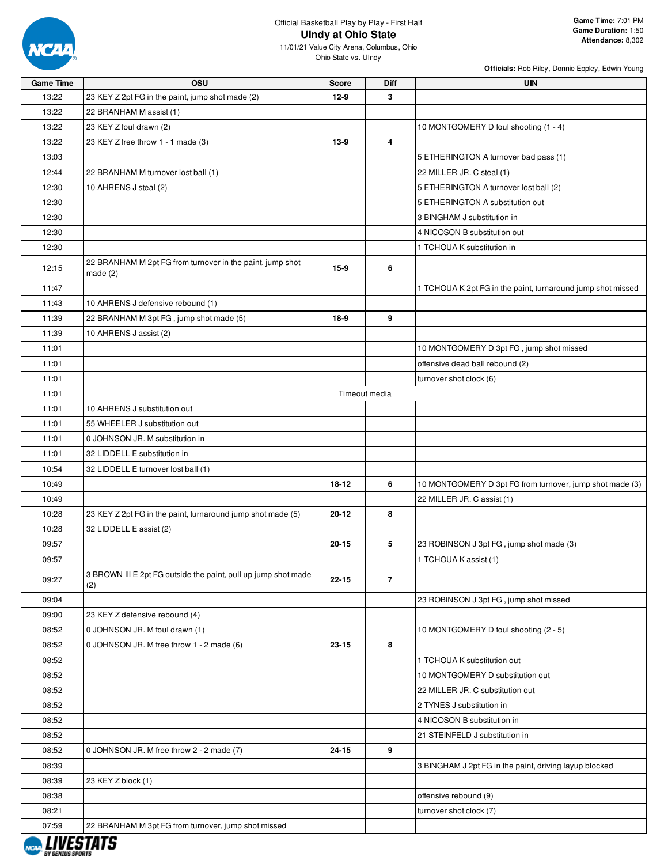

| <b>Game Time</b> | OSU                                                                   | <b>Score</b> | Diff           | <b>UIN</b>                                                  |
|------------------|-----------------------------------------------------------------------|--------------|----------------|-------------------------------------------------------------|
| 13:22            | 23 KEY Z 2pt FG in the paint, jump shot made (2)                      | $12-9$       | 3              |                                                             |
| 13:22            | 22 BRANHAM M assist (1)                                               |              |                |                                                             |
| 13:22            | 23 KEY Z foul drawn (2)                                               |              |                | 10 MONTGOMERY D foul shooting (1 - 4)                       |
| 13:22            | 23 KEY Z free throw 1 - 1 made (3)                                    | 13-9         | 4              |                                                             |
| 13:03            |                                                                       |              |                | 5 ETHERINGTON A turnover bad pass (1)                       |
| 12:44            | 22 BRANHAM M turnover lost ball (1)                                   |              |                | 22 MILLER JR. C steal (1)                                   |
| 12:30            | 10 AHRENS J steal (2)                                                 |              |                | 5 ETHERINGTON A turnover lost ball (2)                      |
| 12:30            |                                                                       |              |                | 5 ETHERINGTON A substitution out                            |
| 12:30            |                                                                       |              |                | 3 BINGHAM J substitution in                                 |
| 12:30            |                                                                       |              |                | 4 NICOSON B substitution out                                |
| 12:30            |                                                                       |              |                | 1 TCHOUA K substitution in                                  |
| 12:15            | 22 BRANHAM M 2pt FG from turnover in the paint, jump shot             | $15-9$       | 6              |                                                             |
|                  | made $(2)$                                                            |              |                |                                                             |
| 11:47            |                                                                       |              |                | 1 TCHOUA K 2pt FG in the paint, turnaround jump shot missed |
| 11:43            | 10 AHRENS J defensive rebound (1)                                     |              |                |                                                             |
| 11:39            | 22 BRANHAM M 3pt FG, jump shot made (5)                               | 18-9         | 9              |                                                             |
| 11:39            | 10 AHRENS J assist (2)                                                |              |                |                                                             |
| 11:01            |                                                                       |              |                | 10 MONTGOMERY D 3pt FG, jump shot missed                    |
| 11:01            |                                                                       |              |                | offensive dead ball rebound (2)                             |
| 11:01            |                                                                       |              |                | turnover shot clock (6)                                     |
| 11:01            |                                                                       |              | Timeout media  |                                                             |
| 11:01            | 10 AHRENS J substitution out                                          |              |                |                                                             |
| 11:01            | 55 WHEELER J substitution out                                         |              |                |                                                             |
| 11:01            | 0 JOHNSON JR. M substitution in                                       |              |                |                                                             |
| 11:01            | 32 LIDDELL E substitution in                                          |              |                |                                                             |
| 10:54            | 32 LIDDELL E turnover lost ball (1)                                   |              |                |                                                             |
| 10:49            |                                                                       | 18-12        | 6              | 10 MONTGOMERY D 3pt FG from turnover, jump shot made (3)    |
| 10:49            |                                                                       |              |                | 22 MILLER JR. C assist (1)                                  |
| 10:28            | 23 KEY Z 2pt FG in the paint, turnaround jump shot made (5)           | 20-12        | 8              |                                                             |
| 10:28            | 32 LIDDELL E assist (2)                                               |              |                |                                                             |
| 09:57            |                                                                       | $20 - 15$    | 5              | 23 ROBINSON J 3pt FG, jump shot made (3)                    |
| 09:57            |                                                                       |              |                | 1 TCHOUA K assist (1)                                       |
| 09:27            | 3 BROWN III E 2pt FG outside the paint, pull up jump shot made<br>(2) | 22-15        | $\overline{7}$ |                                                             |
| 09:04            |                                                                       |              |                | 23 ROBINSON J 3pt FG, jump shot missed                      |
| 09:00            | 23 KEY Z defensive rebound (4)                                        |              |                |                                                             |
| 08:52            | 0 JOHNSON JR. M foul drawn (1)                                        |              |                | 10 MONTGOMERY D foul shooting (2 - 5)                       |
| 08:52            | 0 JOHNSON JR. M free throw 1 - 2 made (6)                             | 23-15        | 8              |                                                             |
| 08:52            |                                                                       |              |                | 1 TCHOUA K substitution out                                 |
| 08:52            |                                                                       |              |                | 10 MONTGOMERY D substitution out                            |
| 08:52            |                                                                       |              |                | 22 MILLER JR. C substitution out                            |
| 08:52            |                                                                       |              |                | 2 TYNES J substitution in                                   |
| 08:52            |                                                                       |              |                | 4 NICOSON B substitution in                                 |
| 08:52            |                                                                       |              |                | 21 STEINFELD J substitution in                              |
| 08:52            | 0 JOHNSON JR. M free throw 2 - 2 made (7)                             | 24-15        | 9              |                                                             |
| 08:39            |                                                                       |              |                | 3 BINGHAM J 2pt FG in the paint, driving layup blocked      |
| 08:39            | 23 KEY Z block (1)                                                    |              |                |                                                             |
| 08:38            |                                                                       |              |                | offensive rebound (9)                                       |
| 08:21            |                                                                       |              |                | turnover shot clock (7)                                     |
| 07:59            | 22 BRANHAM M 3pt FG from turnover, jump shot missed                   |              |                |                                                             |
|                  |                                                                       |              |                |                                                             |

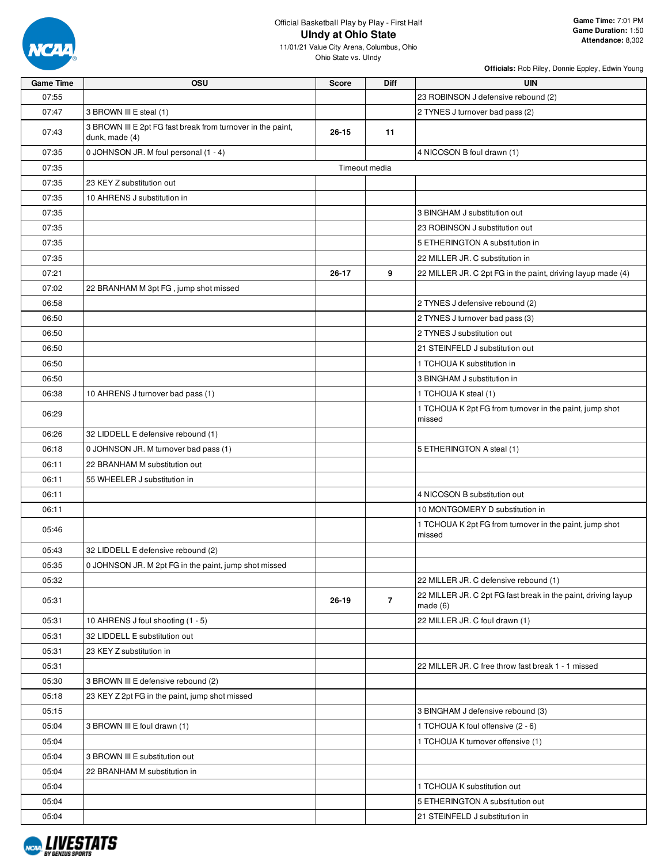

**Game Time:** 7:01 PM **Game Duration:** 1:50 **Attendance:** 8,302

11/01/21 Value City Arena, Columbus, Ohio Ohio State vs. UIndy

| <b>Game Time</b> | OSU                                                                           | <b>Score</b> | <b>Diff</b>    | <b>UIN</b>                                                                  |
|------------------|-------------------------------------------------------------------------------|--------------|----------------|-----------------------------------------------------------------------------|
| 07:55            |                                                                               |              |                | 23 ROBINSON J defensive rebound (2)                                         |
| 07:47            | 3 BROWN III E steal (1)                                                       |              |                | 2 TYNES J turnover bad pass (2)                                             |
| 07:43            | 3 BROWN III E 2pt FG fast break from turnover in the paint,<br>dunk, made (4) | $26 - 15$    | 11             |                                                                             |
| 07:35            | 0 JOHNSON JR. M foul personal (1 - 4)                                         |              |                | 4 NICOSON B foul drawn (1)                                                  |
| 07:35            |                                                                               |              | Timeout media  |                                                                             |
| 07:35            | 23 KEY Z substitution out                                                     |              |                |                                                                             |
| 07:35            | 10 AHRENS J substitution in                                                   |              |                |                                                                             |
| 07:35            |                                                                               |              |                | 3 BINGHAM J substitution out                                                |
| 07:35            |                                                                               |              |                | 23 ROBINSON J substitution out                                              |
| 07:35            |                                                                               |              |                | 5 ETHERINGTON A substitution in                                             |
| 07:35            |                                                                               |              |                | 22 MILLER JR. C substitution in                                             |
| 07:21            |                                                                               | $26 - 17$    | 9              | 22 MILLER JR. C 2pt FG in the paint, driving layup made (4)                 |
| 07:02            | 22 BRANHAM M 3pt FG, jump shot missed                                         |              |                |                                                                             |
| 06:58            |                                                                               |              |                | 2 TYNES J defensive rebound (2)                                             |
| 06:50            |                                                                               |              |                | 2 TYNES J turnover bad pass (3)                                             |
| 06:50            |                                                                               |              |                | 2 TYNES J substitution out                                                  |
| 06:50            |                                                                               |              |                | 21 STEINFELD J substitution out                                             |
| 06:50            |                                                                               |              |                | 1 TCHOUA K substitution in                                                  |
| 06:50            |                                                                               |              |                | 3 BINGHAM J substitution in                                                 |
| 06:38            | 10 AHRENS J turnover bad pass (1)                                             |              |                | 1 TCHOUA K steal (1)                                                        |
| 06:29            |                                                                               |              |                | 1 TCHOUA K 2pt FG from turnover in the paint, jump shot<br>missed           |
| 06:26            | 32 LIDDELL E defensive rebound (1)                                            |              |                |                                                                             |
| 06:18            | 0 JOHNSON JR. M turnover bad pass (1)                                         |              |                | 5 ETHERINGTON A steal (1)                                                   |
| 06:11            | 22 BRANHAM M substitution out                                                 |              |                |                                                                             |
| 06:11            | 55 WHEELER J substitution in                                                  |              |                |                                                                             |
| 06:11            |                                                                               |              |                | 4 NICOSON B substitution out                                                |
| 06:11            |                                                                               |              |                | 10 MONTGOMERY D substitution in                                             |
| 05:46            |                                                                               |              |                | 1 TCHOUA K 2pt FG from turnover in the paint, jump shot<br>missed           |
| 05:43            | 32 LIDDELL E defensive rebound (2)                                            |              |                |                                                                             |
| 05:35            | 0 JOHNSON JR. M 2pt FG in the paint, jump shot missed                         |              |                |                                                                             |
| 05:32            |                                                                               |              |                | 22 MILLER JR. C defensive rebound (1)                                       |
| 05:31            |                                                                               | 26-19        | $\overline{7}$ | 22 MILLER JR. C 2pt FG fast break in the paint, driving layup<br>made $(6)$ |
| 05:31            | 10 AHRENS J foul shooting (1 - 5)                                             |              |                | 22 MILLER JR. C foul drawn (1)                                              |
| 05:31            | 32 LIDDELL E substitution out                                                 |              |                |                                                                             |
| 05:31            | 23 KEY Z substitution in                                                      |              |                |                                                                             |
| 05:31            |                                                                               |              |                | 22 MILLER JR. C free throw fast break 1 - 1 missed                          |
| 05:30            | 3 BROWN III E defensive rebound (2)                                           |              |                |                                                                             |
| 05:18            | 23 KEY Z 2pt FG in the paint, jump shot missed                                |              |                |                                                                             |
| 05:15            |                                                                               |              |                | 3 BINGHAM J defensive rebound (3)                                           |
| 05:04            | 3 BROWN III E foul drawn (1)                                                  |              |                | 1 TCHOUA K foul offensive (2 - 6)                                           |
| 05:04            |                                                                               |              |                | 1 TCHOUA K turnover offensive (1)                                           |
| 05:04            | 3 BROWN III E substitution out                                                |              |                |                                                                             |
| 05:04            | 22 BRANHAM M substitution in                                                  |              |                |                                                                             |
| 05:04            |                                                                               |              |                | 1 TCHOUA K substitution out                                                 |
| 05:04            |                                                                               |              |                | 5 ETHERINGTON A substitution out                                            |
| 05:04            |                                                                               |              |                | 21 STEINFELD J substitution in                                              |

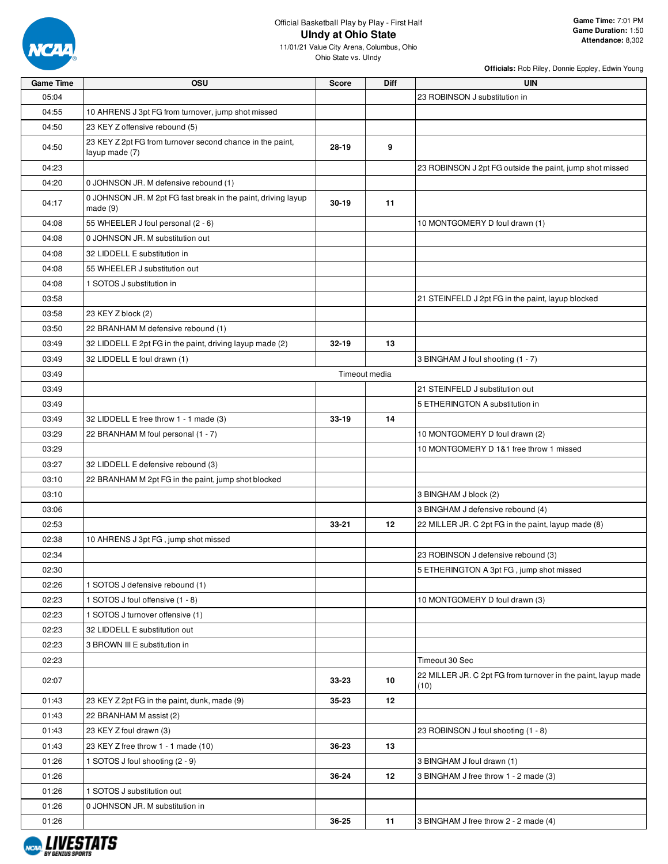

11/01/21 Value City Arena, Columbus, Ohio Ohio State vs. UIndy

| <b>Game Time</b> | OSU                                                                         | <b>Score</b> | Diff          | <b>UIN</b>                                                    |
|------------------|-----------------------------------------------------------------------------|--------------|---------------|---------------------------------------------------------------|
| 05:04            |                                                                             |              |               | 23 ROBINSON J substitution in                                 |
| 04:55            | 10 AHRENS J 3pt FG from turnover, jump shot missed                          |              |               |                                                               |
| 04:50            | 23 KEY Z offensive rebound (5)                                              |              |               |                                                               |
| 04:50            | 23 KEY Z 2pt FG from turnover second chance in the paint,<br>layup made (7) | 28-19        | 9             |                                                               |
| 04:23            |                                                                             |              |               | 23 ROBINSON J 2pt FG outside the paint, jump shot missed      |
| 04:20            | 0 JOHNSON JR. M defensive rebound (1)                                       |              |               |                                                               |
| 04:17            | 0 JOHNSON JR. M 2pt FG fast break in the paint, driving layup<br>made $(9)$ | 30-19        | 11            |                                                               |
| 04:08            | 55 WHEELER J foul personal (2 - 6)                                          |              |               | 10 MONTGOMERY D foul drawn (1)                                |
| 04:08            | 0 JOHNSON JR. M substitution out                                            |              |               |                                                               |
| 04:08            | 32 LIDDELL E substitution in                                                |              |               |                                                               |
| 04:08            | 55 WHEELER J substitution out                                               |              |               |                                                               |
| 04:08            | 1 SOTOS J substitution in                                                   |              |               |                                                               |
| 03:58            |                                                                             |              |               | 21 STEINFELD J 2pt FG in the paint, layup blocked             |
| 03:58            | 23 KEY Z block (2)                                                          |              |               |                                                               |
| 03:50            | 22 BRANHAM M defensive rebound (1)                                          |              |               |                                                               |
| 03:49            | 32 LIDDELL E 2pt FG in the paint, driving layup made (2)                    | 32-19        | 13            |                                                               |
| 03:49            | 32 LIDDELL E foul drawn (1)                                                 |              |               | 3 BINGHAM J foul shooting (1 - 7)                             |
| 03:49            |                                                                             |              | Timeout media |                                                               |
| 03:49            |                                                                             |              |               | 21 STEINFELD J substitution out                               |
| 03:49            |                                                                             |              |               | 5 ETHERINGTON A substitution in                               |
| 03:49            | 32 LIDDELL E free throw 1 - 1 made (3)                                      | 33-19        | 14            |                                                               |
| 03:29            | 22 BRANHAM M foul personal (1 - 7)                                          |              |               | 10 MONTGOMERY D foul drawn (2)                                |
| 03:29            |                                                                             |              |               | 10 MONTGOMERY D 1&1 free throw 1 missed                       |
| 03:27            | 32 LIDDELL E defensive rebound (3)                                          |              |               |                                                               |
| 03:10            | 22 BRANHAM M 2pt FG in the paint, jump shot blocked                         |              |               |                                                               |
| 03:10            |                                                                             |              |               | 3 BINGHAM J block (2)                                         |
| 03:06            |                                                                             |              |               | 3 BINGHAM J defensive rebound (4)                             |
| 02:53            |                                                                             | 33-21        | 12            | 22 MILLER JR. C 2pt FG in the paint, layup made (8)           |
| 02:38            | 10 AHRENS J 3pt FG, jump shot missed                                        |              |               |                                                               |
| 02:34            |                                                                             |              |               | 23 ROBINSON J defensive rebound (3)                           |
| 02:30            |                                                                             |              |               | 5 ETHERINGTON A 3pt FG, jump shot missed                      |
| 02:26            | 1 SOTOS J defensive rebound (1)                                             |              |               |                                                               |
| 02:23            | 1 SOTOS J foul offensive (1 - 8)                                            |              |               | 10 MONTGOMERY D foul drawn (3)                                |
| 02:23            | 1 SOTOS J turnover offensive (1)                                            |              |               |                                                               |
| 02:23            | 32 LIDDELL E substitution out                                               |              |               |                                                               |
| 02:23            | 3 BROWN III E substitution in                                               |              |               |                                                               |
| 02:23            |                                                                             |              |               | Timeout 30 Sec                                                |
|                  |                                                                             |              |               | 22 MILLER JR. C 2pt FG from turnover in the paint, layup made |
| 02:07            |                                                                             | 33-23        | 10            | (10)                                                          |
| 01:43            | 23 KEY Z 2pt FG in the paint, dunk, made (9)                                | 35-23        | 12            |                                                               |
| 01:43            | 22 BRANHAM M assist (2)                                                     |              |               |                                                               |
| 01:43            | 23 KEY Z foul drawn (3)                                                     |              |               | 23 ROBINSON J foul shooting (1 - 8)                           |
| 01:43            | 23 KEY Z free throw 1 - 1 made (10)                                         | 36-23        | 13            |                                                               |
| 01:26            | 1 SOTOS J foul shooting (2 - 9)                                             |              |               | 3 BINGHAM J foul drawn (1)                                    |
| 01:26            |                                                                             | 36-24        | 12            | 3 BINGHAM J free throw 1 - 2 made (3)                         |
| 01:26            | 1 SOTOS J substitution out                                                  |              |               |                                                               |
| 01:26            | 0 JOHNSON JR. M substitution in                                             |              |               |                                                               |
| 01:26            |                                                                             | 36-25        | 11            | 3 BINGHAM J free throw 2 - 2 made (4)                         |

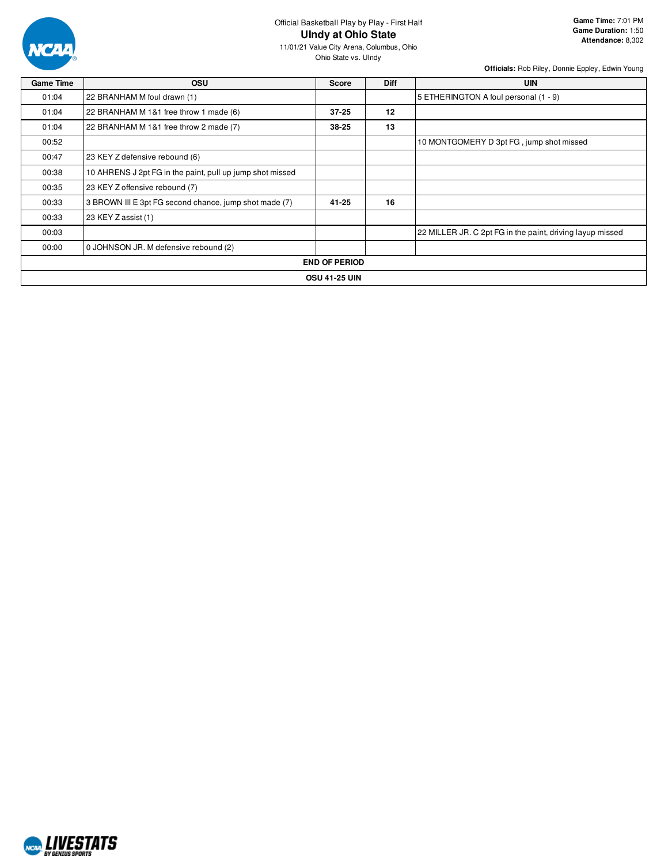

## Official Basketball Play by Play - First Half **UIndy at Ohio State**

| <b>Game Time</b> | <b>OSU</b>                                                | <b>Score</b>         | <b>Diff</b> | <b>UIN</b>                                                |
|------------------|-----------------------------------------------------------|----------------------|-------------|-----------------------------------------------------------|
| 01:04            | 22 BRANHAM M foul drawn (1)                               |                      |             | 5 ETHERINGTON A foul personal (1 - 9)                     |
| 01:04            | 22 BRANHAM M 1&1 free throw 1 made (6)                    | $37 - 25$            | 12          |                                                           |
| 01:04            | 22 BRANHAM M 1&1 free throw 2 made (7)                    | 38-25                | 13          |                                                           |
| 00:52            |                                                           |                      |             | 10 MONTGOMERY D 3pt FG, jump shot missed                  |
| 00:47            | 23 KEY Z defensive rebound (6)                            |                      |             |                                                           |
| 00:38            | 10 AHRENS J 2pt FG in the paint, pull up jump shot missed |                      |             |                                                           |
| 00:35            | 23 KEY Z offensive rebound (7)                            |                      |             |                                                           |
| 00:33            | 3 BROWN III E 3pt FG second chance, jump shot made (7)    | $41 - 25$            | 16          |                                                           |
| 00:33            | 23 KEY Z assist (1)                                       |                      |             |                                                           |
| 00:03            |                                                           |                      |             | 22 MILLER JR. C 2pt FG in the paint, driving layup missed |
| 00:00            | 0 JOHNSON JR. M defensive rebound (2)                     |                      |             |                                                           |
|                  |                                                           | <b>END OF PERIOD</b> |             |                                                           |
|                  |                                                           | <b>OSU 41-25 UIN</b> |             |                                                           |

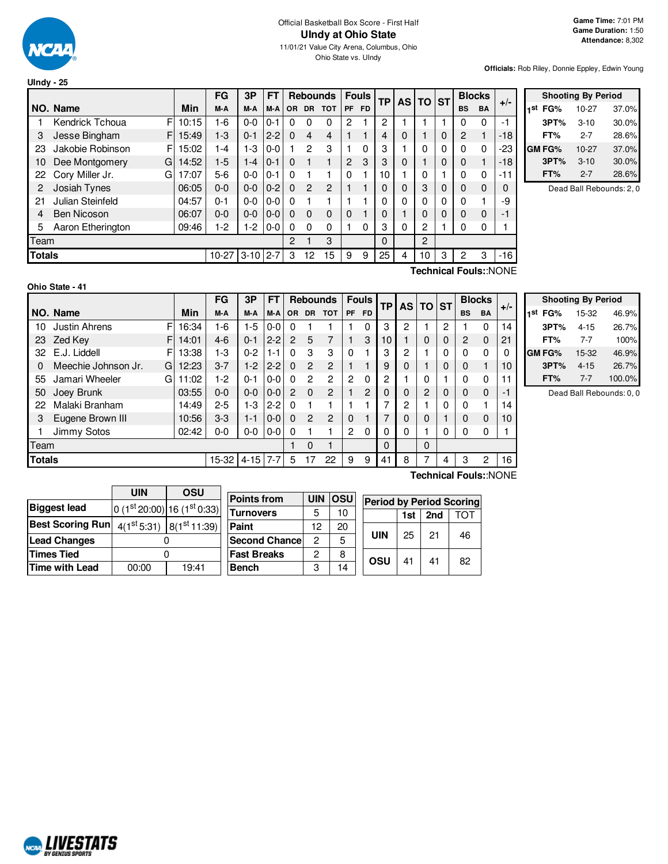

#### Official Basketball Box Score - First Half **UIndy at Ohio State** 11/01/21 Value City Arena, Columbus, Ohio Ohio State vs. UIndy

**Officials:** Rob Riley, Donnie Eppley, Edwin Young

| Ulndy - $25$  |                       |       |         |              |         |           |                |                 |           |              |           |           |              |   |           |               |       |
|---------------|-----------------------|-------|---------|--------------|---------|-----------|----------------|-----------------|-----------|--------------|-----------|-----------|--------------|---|-----------|---------------|-------|
|               |                       |       | FG      | 3P           | FT      |           |                | <b>Rebounds</b> |           | <b>Fouls</b> | <b>TP</b> | <b>AS</b> | <b>TO ST</b> |   |           | <b>Blocks</b> | $+/-$ |
|               | NO. Name              | Min   | M-A     | M-A          | M-A     | <b>OR</b> | <b>DR</b>      | <b>TOT</b>      | <b>PF</b> | <b>FD</b>    |           |           |              |   | <b>BS</b> | <b>BA</b>     |       |
|               | F<br>Kendrick Tchoua  | 10:15 | 1-6     | $0 - 0$      | $0 - 1$ | 0         | 0              | 0               | 2         |              | 2         |           |              |   | 0         | 0             | -1    |
| 3             | Jesse Bingham<br>F    | 15:49 | $1-3$   | $0 - 1$      | $2 - 2$ | $\Omega$  | 4              | 4               |           |              | 4         | 0         |              | 0 | 2         | 1             | $-18$ |
| 23            | Jakobie Robinson<br>F | 15:02 | 1-4     | $1-3$        | $0-0$   |           | 2              | 3               |           | 0            | 3         |           | 0            | 0 | $\Omega$  | 0             | -23   |
| 10            | Dee Montgomery<br>G   | 14:52 | $1-5$   | $1 - 4$      | $0 - 1$ | $\Omega$  |                |                 | 2         | 3            | 3         | 0         |              | 0 | 0         | 1             | $-18$ |
| 22            | Cory Miller Jr.<br>G  | 17:07 | $5-6$   | $0 - 0$      | $0 - 1$ | $\Omega$  |                |                 | 0         |              | 10        |           | 0            |   | $\Omega$  | 0             | $-11$ |
| 2             | Josiah Tynes          | 06:05 | $0 - 0$ | $0 - 0$      | $0 - 2$ | $\Omega$  | $\mathfrak{p}$ | $\mathfrak{p}$  |           |              | 0         | $\Omega$  | 3            | 0 | 0         | $\mathbf 0$   | 0     |
| 21            | Julian Steinfeld      | 04:57 | $0 - 1$ | $0-0$        | $0-0$   | $\Omega$  |                |                 |           |              | 0         | 0         | 0            | 0 | $\Omega$  |               | -9    |
| 4             | <b>Ben Nicoson</b>    | 06:07 | $0 - 0$ | $0 - 0$      | $0-0$   | $\Omega$  | $\Omega$       | $\Omega$        | 0         |              | 0         |           | 0            | 0 | 0         | $\mathbf 0$   | -1    |
| 5             | Aaron Etherington     | 09:46 | $1-2$   | $1-2$        | $0-0$   | $\Omega$  | $\mathbf{0}$   | 0               |           | 0            | 3         | 0         | 2            |   | 0         | 0             |       |
| Team          |                       |       |         |              |         | 2         |                | 3               |           |              | 0         |           | 2            |   |           |               |       |
| <b>Totals</b> |                       |       | $10-27$ | $3-10$   2-7 |         | 3         | 12             | 15              | 9         | 9            | 25        | 4         | 10           | 3 | 2         | 3             | $-16$ |

|     | <b>Shooting By Period</b> |          |       |  |  |  |  |  |  |  |
|-----|---------------------------|----------|-------|--|--|--|--|--|--|--|
| 1st | FG%                       | 10-27    | 37.0% |  |  |  |  |  |  |  |
|     | 3PT%                      | $3 - 10$ | 30.0% |  |  |  |  |  |  |  |
|     | FT%                       | $2 - 7$  | 28.6% |  |  |  |  |  |  |  |
|     | <b>GM FG%</b>             | 10-27    | 37.0% |  |  |  |  |  |  |  |
|     | 3PT%                      | $3 - 10$ | 30.0% |  |  |  |  |  |  |  |
|     | FT%                       | $2 - 7$  | 28.6% |  |  |  |  |  |  |  |

Dead Ball Rebounds: 2, 0

**Ohio State - 41**

F 16:34 F 14:01 F 13:38  $G$  12:23 G 11:02 **NO.** Name Min **FG 3P FT Rebounds Fouls TP AS TO ST**  $\begin{bmatrix} \mathsf{FG} & \mathsf{3P} & \mathsf{FT} \\ \mathsf{M-A} & \mathsf{M-A} & \mathsf{OR} & \mathsf{DR} & \mathsf{TOT} \end{bmatrix}$   $\begin{bmatrix} \mathsf{FO} & \mathsf{FP} \\ \mathsf{PF} & \mathsf{FD} \end{bmatrix}$   $\begin{bmatrix} \mathsf{TS} & \mathsf{DT} \\ \mathsf{AS} & \mathsf{DT} \end{bmatrix}$   $\begin{bmatrix} \mathsf{BlockS} \\ \mathsf{BS} & \mathsf{BA} \end{bmatrix}$  +/-10 Justin Ahrens F 16:34 1-6 1-5 0-0 0 1 1 1 0 3 2 1 2 1 0 14 23 Zed Key 14:01 4-6 0-1 2-2 2 5 7 1 3 10 1 0 0 2 0 21 32 E.J. Liddell 13:38 1-3 0-2 1-1 0 3 3 0 1 3 2 1 0 0 0 0 0 Meechie Johnson Jr. G 12:23 3-7 1 -2 2-2 0 2 2 1 1 9 0 1 0 0 1 0 1 10 55 Jamari Wheeler  $G\left|11:02\right|$  1-2 0-1 0-0 0 2 2 2 0 2 1 0 1 0 0 11 50 Joey Brunk 03:55 0-0 0-0 0-0 2 0 2 1 2 0 0 2 0 0 0 -1 22 Malaki Branham 14:49 2-5 1-3 2-2 0 1 1 1 1 7 2 1 0 0 1 14 3 Eugene Brown III | 10:56 | 3-3 | 1-1 | 0-0 | 0 2 2 | 0 1 | 7 | 0 | 0 | 1 | 0 0 | 10 1 Jimmy Sotos  $02:42 \begin{bmatrix} 0 & 0 & 0 & 0 & 0 & 0 & 1 \\ 0 & 0 & 0 & 0 & 1 & 1 \end{bmatrix}$  2 0 0 0 1 1 0 0 0 1 Team 1 0 1 0 0 **Totals** 15-32 4-15 7-7 5 17 22 | 9 | 9 | 41 | 8 | 7 | 4 | 3 2 | 16

|     | <b>Shooting By Period</b> |          |        |  |  |  |  |  |  |  |  |
|-----|---------------------------|----------|--------|--|--|--|--|--|--|--|--|
| 1st | FG%                       | 15-32    | 46.9%  |  |  |  |  |  |  |  |  |
|     | 3PT%                      | $4 - 15$ | 26.7%  |  |  |  |  |  |  |  |  |
|     | FT%                       | $7 - 7$  | 100%   |  |  |  |  |  |  |  |  |
|     | GM FG%                    | 15-32    | 46.9%  |  |  |  |  |  |  |  |  |
|     | 3PT%                      | $4 - 15$ | 26.7%  |  |  |  |  |  |  |  |  |
|     | FT%                       | $7 - 7$  | 100.0% |  |  |  |  |  |  |  |  |

Dead Ball Rebounds: 0, 0

|                                     | UIN   | OSU                       |                       |            |      |                                 |                |     |     |  |  |
|-------------------------------------|-------|---------------------------|-----------------------|------------|------|---------------------------------|----------------|-----|-----|--|--|
|                                     |       |                           | <b>Points from</b>    | <b>UIN</b> | losu | <b>Period by Period Scoring</b> |                |     |     |  |  |
| <b>Biggest lead</b>                 |       | $0(1st20:00) 16(1st0:33)$ | <b>Turnovers</b>      | 5          | 10   |                                 | 1st            | 2nd | TOT |  |  |
| Best Scoring Run $\mid$ 4(1st 5:31) |       | $8(1^{st}11:39)$          | Paint                 | 12         | 20   |                                 |                |     |     |  |  |
| <b>Lead Changes</b>                 |       |                           | <b>Second Chancel</b> | 2          | 5    | <b>UIN</b>                      | 25             | 21  | 46  |  |  |
| Times Tied                          |       |                           | <b>Fast Breaks</b>    | 2          | 8    | OSU                             | 4 <sup>1</sup> | 41  |     |  |  |
| Time with Lead                      | 00:00 | 19:41                     | <b>Bench</b>          | 3          | 14   |                                 |                |     | 82  |  |  |

**Technical Fouls:**:NONE

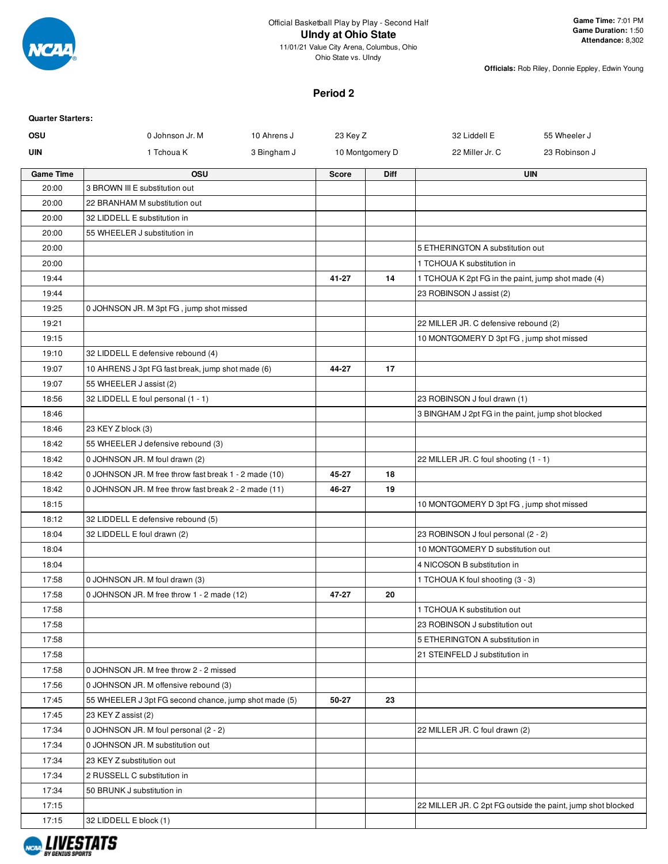

### **Period 2**

| <b>Quarter Starters:</b> |                                                       |             |              |                 |                                                    |                                                             |
|--------------------------|-------------------------------------------------------|-------------|--------------|-----------------|----------------------------------------------------|-------------------------------------------------------------|
| OSU                      | 0 Johnson Jr. M                                       | 10 Ahrens J | 23 Key Z     |                 | 32 Liddell E                                       | 55 Wheeler J                                                |
| <b>UIN</b>               | 1 Tchoua K                                            | 3 Bingham J |              | 10 Montgomery D | 22 Miller Jr. C                                    | 23 Robinson J                                               |
| <b>Game Time</b>         | OSU                                                   |             | <b>Score</b> | Diff            |                                                    | <b>UIN</b>                                                  |
| 20:00                    | 3 BROWN III E substitution out                        |             |              |                 |                                                    |                                                             |
| 20:00                    | 22 BRANHAM M substitution out                         |             |              |                 |                                                    |                                                             |
| 20:00                    | 32 LIDDELL E substitution in                          |             |              |                 |                                                    |                                                             |
| 20:00                    | 55 WHEELER J substitution in                          |             |              |                 |                                                    |                                                             |
| 20:00                    |                                                       |             |              |                 | 5 ETHERINGTON A substitution out                   |                                                             |
| 20:00                    |                                                       |             |              |                 | 1 TCHOUA K substitution in                         |                                                             |
| 19:44                    |                                                       |             | 41-27        | 14              | 1 TCHOUA K 2pt FG in the paint, jump shot made (4) |                                                             |
| 19:44                    |                                                       |             |              |                 | 23 ROBINSON J assist (2)                           |                                                             |
| 19:25                    | 0 JOHNSON JR. M 3pt FG, jump shot missed              |             |              |                 |                                                    |                                                             |
| 19:21                    |                                                       |             |              |                 | 22 MILLER JR. C defensive rebound (2)              |                                                             |
| 19:15                    |                                                       |             |              |                 | 10 MONTGOMERY D 3pt FG, jump shot missed           |                                                             |
| 19:10                    | 32 LIDDELL E defensive rebound (4)                    |             |              |                 |                                                    |                                                             |
| 19:07                    | 10 AHRENS J 3pt FG fast break, jump shot made (6)     |             | 44-27        | 17              |                                                    |                                                             |
| 19:07                    | 55 WHEELER J assist (2)                               |             |              |                 |                                                    |                                                             |
| 18:56                    | 32 LIDDELL E foul personal (1 - 1)                    |             |              |                 | 23 ROBINSON J foul drawn (1)                       |                                                             |
| 18:46                    |                                                       |             |              |                 | 3 BINGHAM J 2pt FG in the paint, jump shot blocked |                                                             |
| 18:46                    | 23 KEY Z block (3)                                    |             |              |                 |                                                    |                                                             |
| 18:42                    | 55 WHEELER J defensive rebound (3)                    |             |              |                 |                                                    |                                                             |
| 18:42                    | 0 JOHNSON JR. M foul drawn (2)                        |             |              |                 | 22 MILLER JR. C foul shooting (1 - 1)              |                                                             |
| 18:42                    | 0 JOHNSON JR. M free throw fast break 1 - 2 made (10) |             | 45-27        | 18              |                                                    |                                                             |
| 18:42                    | 0 JOHNSON JR. M free throw fast break 2 - 2 made (11) |             | 46-27        | 19              |                                                    |                                                             |
| 18:15                    |                                                       |             |              |                 | 10 MONTGOMERY D 3pt FG, jump shot missed           |                                                             |
| 18:12                    | 32 LIDDELL E defensive rebound (5)                    |             |              |                 |                                                    |                                                             |
| 18:04                    | 32 LIDDELL E foul drawn (2)                           |             |              |                 | 23 ROBINSON J foul personal (2 - 2)                |                                                             |
| 18:04                    |                                                       |             |              |                 | 10 MONTGOMERY D substitution out                   |                                                             |
| 18:04                    |                                                       |             |              |                 | 4 NICOSON B substitution in                        |                                                             |
| 17:58                    | 0 JOHNSON JR. M foul drawn (3)                        |             |              |                 | 1 TCHOUA K foul shooting (3 - 3)                   |                                                             |
| 17:58                    | 0 JOHNSON JR. M free throw 1 - 2 made (12)            |             | 47-27        | 20              |                                                    |                                                             |
| 17:58                    |                                                       |             |              |                 | 1 TCHOUA K substitution out                        |                                                             |
| 17:58                    |                                                       |             |              |                 | 23 ROBINSON J substitution out                     |                                                             |
| 17:58                    |                                                       |             |              |                 | 5 ETHERINGTON A substitution in                    |                                                             |
| 17:58                    |                                                       |             |              |                 | 21 STEINFELD J substitution in                     |                                                             |
| 17:58                    | 0 JOHNSON JR. M free throw 2 - 2 missed               |             |              |                 |                                                    |                                                             |
| 17:56                    | 0 JOHNSON JR. M offensive rebound (3)                 |             |              |                 |                                                    |                                                             |
| 17:45                    | 55 WHEELER J 3pt FG second chance, jump shot made (5) |             | 50-27        | 23              |                                                    |                                                             |
| 17:45                    | 23 KEY Z assist (2)                                   |             |              |                 |                                                    |                                                             |
| 17:34                    | 0 JOHNSON JR. M foul personal (2 - 2)                 |             |              |                 | 22 MILLER JR. C foul drawn (2)                     |                                                             |
| 17:34                    | 0 JOHNSON JR. M substitution out                      |             |              |                 |                                                    |                                                             |
| 17:34                    | 23 KEY Z substitution out                             |             |              |                 |                                                    |                                                             |
| 17:34                    | 2 RUSSELL C substitution in                           |             |              |                 |                                                    |                                                             |
| 17:34                    | 50 BRUNK J substitution in                            |             |              |                 |                                                    |                                                             |
| 17:15                    |                                                       |             |              |                 |                                                    | 22 MILLER JR. C 2pt FG outside the paint, jump shot blocked |
| 17:15                    | 32 LIDDELL E block (1)                                |             |              |                 |                                                    |                                                             |
|                          |                                                       |             |              |                 |                                                    |                                                             |

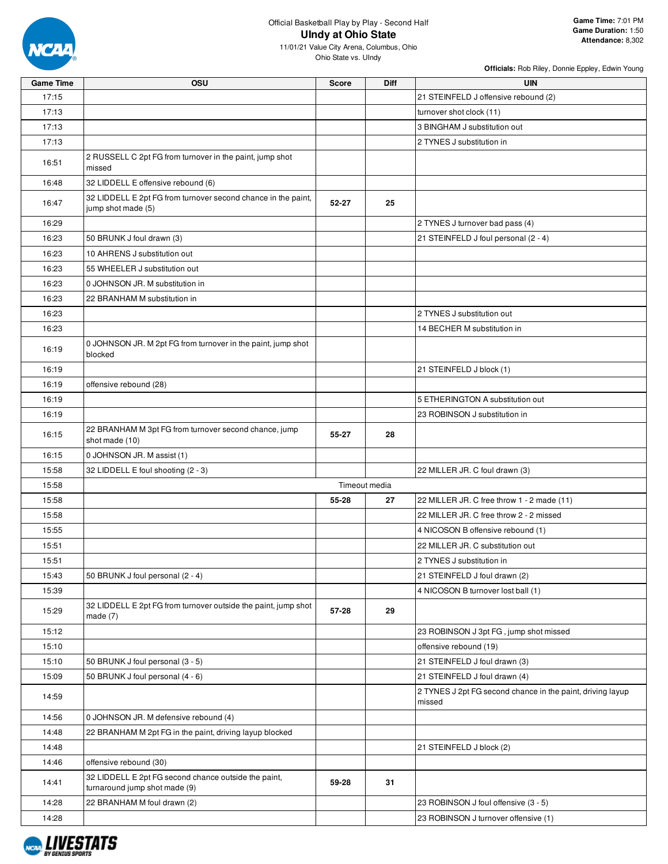

11/01/21 Value City Arena, Columbus, Ohio Ohio State vs. UIndy

| <b>Game Time</b> | OSU                                                                                   | <b>Score</b> | Diff          | <b>UIN</b>                                                           |
|------------------|---------------------------------------------------------------------------------------|--------------|---------------|----------------------------------------------------------------------|
| 17:15            |                                                                                       |              |               | 21 STEINFELD J offensive rebound (2)                                 |
| 17:13            |                                                                                       |              |               | turnover shot clock (11)                                             |
| 17:13            |                                                                                       |              |               | 3 BINGHAM J substitution out                                         |
| 17:13            |                                                                                       |              |               | 2 TYNES J substitution in                                            |
| 16:51            | 2 RUSSELL C 2pt FG from turnover in the paint, jump shot<br>missed                    |              |               |                                                                      |
| 16:48            | 32 LIDDELL E offensive rebound (6)                                                    |              |               |                                                                      |
| 16:47            | 32 LIDDELL E 2pt FG from turnover second chance in the paint,<br>jump shot made (5)   | $52 - 27$    | 25            |                                                                      |
| 16:29            |                                                                                       |              |               | 2 TYNES J turnover bad pass (4)                                      |
| 16:23            | 50 BRUNK J foul drawn (3)                                                             |              |               | 21 STEINFELD J foul personal (2 - 4)                                 |
| 16:23            | 10 AHRENS J substitution out                                                          |              |               |                                                                      |
| 16:23            | 55 WHEELER J substitution out                                                         |              |               |                                                                      |
| 16:23            | 0 JOHNSON JR. M substitution in                                                       |              |               |                                                                      |
| 16:23            | 22 BRANHAM M substitution in                                                          |              |               |                                                                      |
| 16:23            |                                                                                       |              |               | 2 TYNES J substitution out                                           |
| 16:23            |                                                                                       |              |               | 14 BECHER M substitution in                                          |
| 16:19            | 0 JOHNSON JR. M 2pt FG from turnover in the paint, jump shot<br>blocked               |              |               |                                                                      |
| 16:19            |                                                                                       |              |               | 21 STEINFELD J block (1)                                             |
| 16:19            | offensive rebound (28)                                                                |              |               |                                                                      |
| 16:19            |                                                                                       |              |               | 5 ETHERINGTON A substitution out                                     |
| 16:19            |                                                                                       |              |               | 23 ROBINSON J substitution in                                        |
| 16:15            | 22 BRANHAM M 3pt FG from turnover second chance, jump<br>shot made (10)               | 55-27        | 28            |                                                                      |
| 16:15            | 0 JOHNSON JR. M assist (1)                                                            |              |               |                                                                      |
| 15:58            | 32 LIDDELL E foul shooting (2 - 3)                                                    |              |               | 22 MILLER JR. C foul drawn (3)                                       |
| 15:58            |                                                                                       |              | Timeout media |                                                                      |
| 15:58            |                                                                                       | 55-28        | 27            | 22 MILLER JR. C free throw 1 - 2 made (11)                           |
| 15:58            |                                                                                       |              |               | 22 MILLER JR. C free throw 2 - 2 missed                              |
| 15:55            |                                                                                       |              |               | 4 NICOSON B offensive rebound (1)                                    |
| 15:51            |                                                                                       |              |               | 22 MILLER JR. C substitution out                                     |
| 15:51            |                                                                                       |              |               | 2 TYNES J substitution in                                            |
| 15:43            | 50 BRUNK J foul personal (2 - 4)                                                      |              |               | 21 STEINFELD J foul drawn (2)                                        |
| 15:39            |                                                                                       |              |               | 4 NICOSON B turnover lost ball (1)                                   |
| 15:29            | 32 LIDDELL E 2pt FG from turnover outside the paint, jump shot<br>made $(7)$          | 57-28        | 29            |                                                                      |
| 15:12            |                                                                                       |              |               | 23 ROBINSON J 3pt FG, jump shot missed                               |
| 15:10            |                                                                                       |              |               | offensive rebound (19)                                               |
| 15:10            | 50 BRUNK J foul personal (3 - 5)                                                      |              |               | 21 STEINFELD J foul drawn (3)                                        |
| 15:09            | 50 BRUNK J foul personal (4 - 6)                                                      |              |               | 21 STEINFELD J foul drawn (4)                                        |
| 14:59            |                                                                                       |              |               | 2 TYNES J 2pt FG second chance in the paint, driving layup<br>missed |
| 14:56            | 0 JOHNSON JR. M defensive rebound (4)                                                 |              |               |                                                                      |
| 14:48            | 22 BRANHAM M 2pt FG in the paint, driving layup blocked                               |              |               |                                                                      |
| 14:48            |                                                                                       |              |               | 21 STEINFELD J block (2)                                             |
| 14:46            | offensive rebound (30)                                                                |              |               |                                                                      |
| 14:41            | 32 LIDDELL E 2pt FG second chance outside the paint,<br>turnaround jump shot made (9) | 59-28        | 31            |                                                                      |
| 14:28            | 22 BRANHAM M foul drawn (2)                                                           |              |               | 23 ROBINSON J foul offensive (3 - 5)                                 |
| 14:28            |                                                                                       |              |               | 23 ROBINSON J turnover offensive (1)                                 |

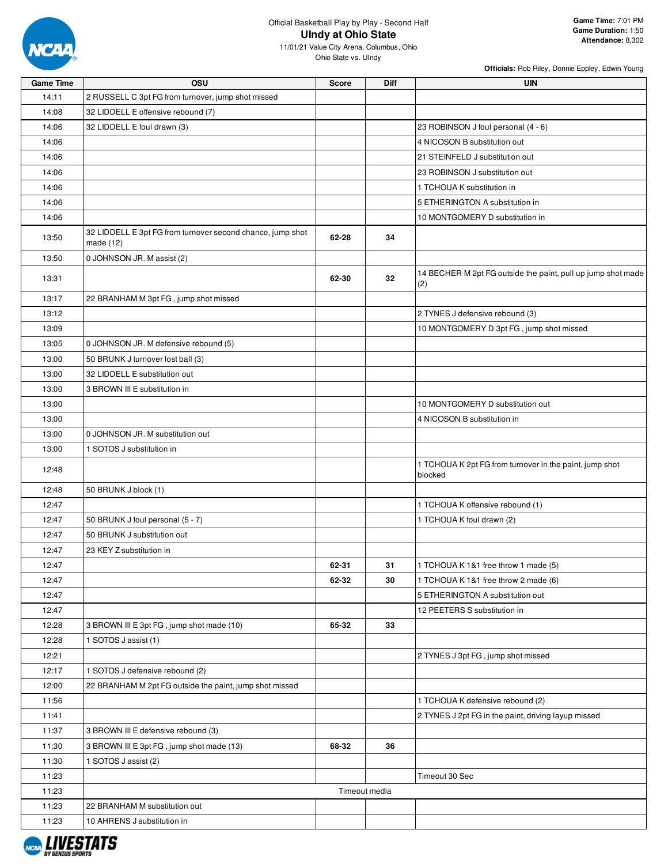

| <b>Game Time</b> | OSU                                                                       | <b>Score</b> | Diff          | <b>UIN</b>                                                          |
|------------------|---------------------------------------------------------------------------|--------------|---------------|---------------------------------------------------------------------|
| 14:11            | 2 RUSSELL C 3pt FG from turnover, jump shot missed                        |              |               |                                                                     |
| 14:08            | 32 LIDDELL E offensive rebound (7)                                        |              |               |                                                                     |
| 14:06            | 32 LIDDELL E foul drawn (3)                                               |              |               | 23 ROBINSON J foul personal (4 - 6)                                 |
| 14:06            |                                                                           |              |               | 4 NICOSON B substitution out                                        |
| 14:06            |                                                                           |              |               | 21 STEINFELD J substitution out                                     |
| 14:06            |                                                                           |              |               | 23 ROBINSON J substitution out                                      |
| 14:06            |                                                                           |              |               | 1 TCHOUA K substitution in                                          |
| 14:06            |                                                                           |              |               | 5 ETHERINGTON A substitution in                                     |
| 14:06            |                                                                           |              |               | 10 MONTGOMERY D substitution in                                     |
| 13:50            | 32 LIDDELL E 3pt FG from turnover second chance, jump shot<br>made $(12)$ | 62-28        | 34            |                                                                     |
| 13:50            | 0 JOHNSON JR. M assist (2)                                                |              |               |                                                                     |
| 13:31            |                                                                           | 62-30        | 32            | 14 BECHER M 2pt FG outside the paint, pull up jump shot made<br>(2) |
| 13:17            | 22 BRANHAM M 3pt FG, jump shot missed                                     |              |               |                                                                     |
| 13:12            |                                                                           |              |               | 2 TYNES J defensive rebound (3)                                     |
| 13:09            |                                                                           |              |               | 10 MONTGOMERY D 3pt FG, jump shot missed                            |
| 13:05            | 0 JOHNSON JR. M defensive rebound (5)                                     |              |               |                                                                     |
| 13:00            | 50 BRUNK J turnover lost ball (3)                                         |              |               |                                                                     |
| 13:00            | 32 LIDDELL E substitution out                                             |              |               |                                                                     |
| 13:00            | 3 BROWN III E substitution in                                             |              |               |                                                                     |
| 13:00            |                                                                           |              |               | 10 MONTGOMERY D substitution out                                    |
| 13:00            |                                                                           |              |               | 4 NICOSON B substitution in                                         |
| 13:00            | 0 JOHNSON JR. M substitution out                                          |              |               |                                                                     |
| 13:00            | 1 SOTOS J substitution in                                                 |              |               |                                                                     |
| 12:48            |                                                                           |              |               | 1 TCHOUA K 2pt FG from turnover in the paint, jump shot<br>blocked  |
| 12:48            | 50 BRUNK J block (1)                                                      |              |               |                                                                     |
| 12:47            |                                                                           |              |               | 1 TCHOUA K offensive rebound (1)                                    |
| 12:47            | 50 BRUNK J foul personal (5 - 7)                                          |              |               | 1 TCHOUA K foul drawn (2)                                           |
| 12:47            | 50 BRUNK J substitution out                                               |              |               |                                                                     |
| 12:47            | 23 KEY Z substitution in                                                  |              |               |                                                                     |
| 12:47            |                                                                           | 62-31        | 31            | 1 TCHOUA K 1&1 free throw 1 made (5)                                |
| 12:47            |                                                                           | 62-32        | 30            | 1 TCHOUA K 1&1 free throw 2 made (6)                                |
| 12:47            |                                                                           |              |               | 5 ETHERINGTON A substitution out                                    |
| 12:47            |                                                                           |              |               | 12 PEETERS S substitution in                                        |
| 12:28            | 3 BROWN III E 3pt FG, jump shot made (10)                                 | 65-32        | 33            |                                                                     |
| 12:28            | 1 SOTOS J assist (1)                                                      |              |               |                                                                     |
| 12:21            |                                                                           |              |               | 2 TYNES J 3pt FG, jump shot missed                                  |
| 12:17            | 1 SOTOS J defensive rebound (2)                                           |              |               |                                                                     |
| 12:00            | 22 BRANHAM M 2pt FG outside the paint, jump shot missed                   |              |               |                                                                     |
| 11:56            |                                                                           |              |               | 1 TCHOUA K defensive rebound (2)                                    |
| 11:41            |                                                                           |              |               | 2 TYNES J 2pt FG in the paint, driving layup missed                 |
| 11:37            | 3 BROWN III E defensive rebound (3)                                       |              |               |                                                                     |
| 11:30            | 3 BROWN III E 3pt FG, jump shot made (13)                                 | 68-32        | 36            |                                                                     |
| 11:30            | 1 SOTOS J assist (2)                                                      |              |               |                                                                     |
| 11:23            |                                                                           |              |               | Timeout 30 Sec                                                      |
| 11:23            |                                                                           |              | Timeout media |                                                                     |
| 11:23            | 22 BRANHAM M substitution out                                             |              |               |                                                                     |
| 11:23            | 10 AHRENS J substitution in                                               |              |               |                                                                     |

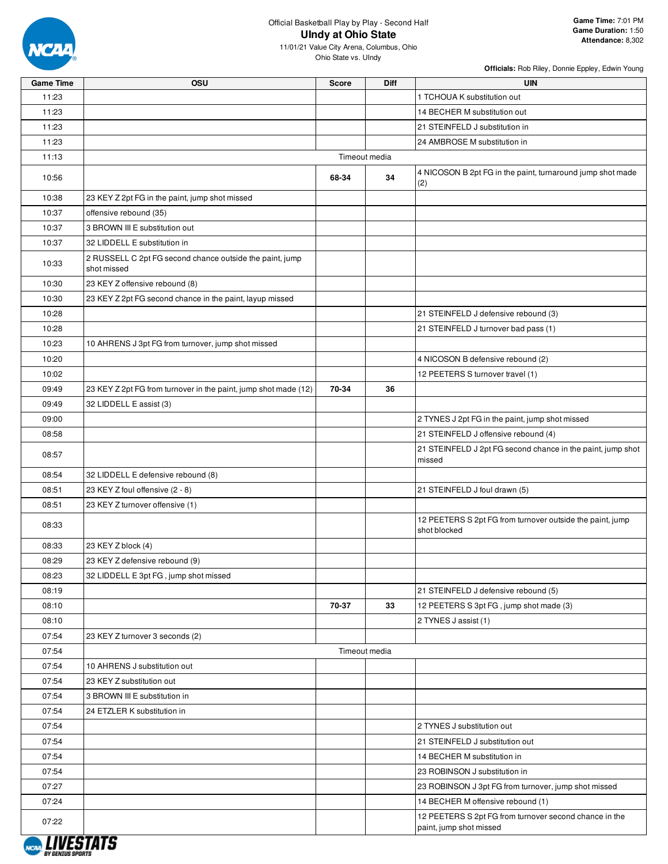

### Official Basketball Play by Play - Second Half **UIndy at Ohio State**

Ohio State vs. UIndy

| <b>Game Time</b>   | OSU                                                                     | <b>Score</b>  | <b>Diff</b>   | <b>UIN</b>                                                                |
|--------------------|-------------------------------------------------------------------------|---------------|---------------|---------------------------------------------------------------------------|
| 11:23              |                                                                         |               |               | 1 TCHOUA K substitution out                                               |
| 11:23              |                                                                         |               |               | 14 BECHER M substitution out                                              |
| 11:23              |                                                                         |               |               | 21 STEINFELD J substitution in                                            |
| 11:23              |                                                                         |               |               | 24 AMBROSE M substitution in                                              |
| 11:13              |                                                                         |               | Timeout media |                                                                           |
| 10:56              |                                                                         | 68-34         | 34            | 4 NICOSON B 2pt FG in the paint, turnaround jump shot made<br>(2)         |
| 10:38              | 23 KEY Z 2pt FG in the paint, jump shot missed                          |               |               |                                                                           |
| 10:37              | offensive rebound (35)                                                  |               |               |                                                                           |
| 10:37              | 3 BROWN III E substitution out                                          |               |               |                                                                           |
| 10:37              | 32 LIDDELL E substitution in                                            |               |               |                                                                           |
| 10:33              | 2 RUSSELL C 2pt FG second chance outside the paint, jump<br>shot missed |               |               |                                                                           |
| 10:30              | 23 KEY Z offensive rebound (8)                                          |               |               |                                                                           |
| 10:30              | 23 KEY Z 2pt FG second chance in the paint, layup missed                |               |               |                                                                           |
| 10:28              |                                                                         |               |               | 21 STEINFELD J defensive rebound (3)                                      |
| 10:28              |                                                                         |               |               | 21 STEINFELD J turnover bad pass (1)                                      |
| 10:23              | 10 AHRENS J 3pt FG from turnover, jump shot missed                      |               |               |                                                                           |
| 10:20              |                                                                         |               |               | 4 NICOSON B defensive rebound (2)                                         |
| 10:02              |                                                                         |               |               | 12 PEETERS S turnover travel (1)                                          |
| 09:49              | 23 KEY Z 2pt FG from turnover in the paint, jump shot made (12)         | 70-34         | 36            |                                                                           |
| 09:49              | 32 LIDDELL E assist (3)                                                 |               |               |                                                                           |
| 09:00              |                                                                         |               |               | 2 TYNES J 2pt FG in the paint, jump shot missed                           |
| 08:58              |                                                                         |               |               | 21 STEINFELD J offensive rebound (4)                                      |
| 08:57              |                                                                         |               |               | 21 STEINFELD J 2pt FG second chance in the paint, jump shot<br>missed     |
| 08:54              | 32 LIDDELL E defensive rebound (8)                                      |               |               |                                                                           |
| 08:51              | 23 KEY Z foul offensive (2 - 8)                                         |               |               | 21 STEINFELD J foul drawn (5)                                             |
| 08:51              | 23 KEY Z turnover offensive (1)                                         |               |               |                                                                           |
| 08:33              |                                                                         |               |               | 12 PEETERS S 2pt FG from turnover outside the paint, jump<br>shot blocked |
| 08:33              | 23 KEY Z block (4)                                                      |               |               |                                                                           |
| 08:29              | 23 KEY Z defensive rebound (9)                                          |               |               |                                                                           |
| 08:23              | 32 LIDDELL E 3pt FG, jump shot missed                                   |               |               |                                                                           |
| 08:19              |                                                                         |               |               | 21 STEINFELD J defensive rebound (5)                                      |
| 08:10              |                                                                         | 70-37         | 33            | 12 PEETERS S 3pt FG, jump shot made (3)                                   |
| 08:10              |                                                                         |               |               | 2 TYNES J assist (1)                                                      |
| 07:54              | 23 KEY Z turnover 3 seconds (2)                                         |               |               |                                                                           |
| 07:54              |                                                                         | Timeout media |               |                                                                           |
| 07:54              | 10 AHRENS J substitution out                                            |               |               |                                                                           |
| 07:54              | 23 KEY Z substitution out                                               |               |               |                                                                           |
| 07:54              | 3 BROWN III E substitution in                                           |               |               |                                                                           |
| 07:54              | 24 ETZLER K substitution in                                             |               |               |                                                                           |
| 07:54              |                                                                         |               |               | 2 TYNES J substitution out                                                |
| 07:54              |                                                                         |               |               | 21 STEINFELD J substitution out                                           |
| 07:54              |                                                                         |               |               | 14 BECHER M substitution in                                               |
| 07:54              |                                                                         |               |               | 23 ROBINSON J substitution in                                             |
| 07:27              |                                                                         |               |               | 23 ROBINSON J 3pt FG from turnover, jump shot missed                      |
| 07:24              |                                                                         |               |               | 14 BECHER M offensive rebound (1)                                         |
| 07:22              |                                                                         |               |               | 12 PEETERS S 2pt FG from turnover second chance in the                    |
| 1 11 <i>126383</i> |                                                                         |               |               | paint, jump shot missed                                                   |

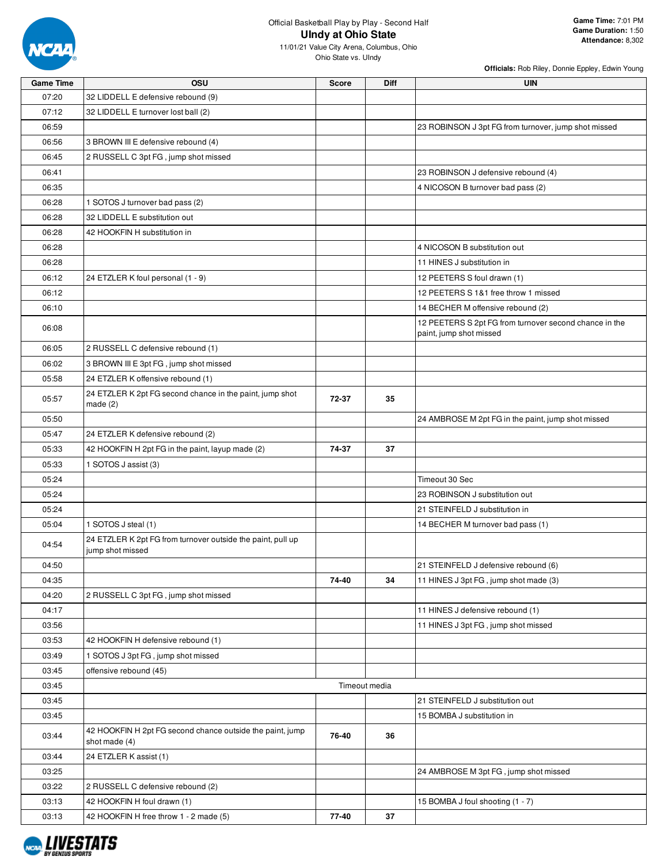

Ohio State vs. UIndy

**Officials:** Rob Riley, Donnie Eppley, Edwin Young

**Attendance:** 8,302

| <b>Game Time</b> | OSU                                                                             | <b>Score</b> | Diff          | UIN                                                                               |
|------------------|---------------------------------------------------------------------------------|--------------|---------------|-----------------------------------------------------------------------------------|
| 07:20            | 32 LIDDELL E defensive rebound (9)                                              |              |               |                                                                                   |
| 07:12            | 32 LIDDELL E turnover lost ball (2)                                             |              |               |                                                                                   |
| 06:59            |                                                                                 |              |               | 23 ROBINSON J 3pt FG from turnover, jump shot missed                              |
| 06:56            | 3 BROWN III E defensive rebound (4)                                             |              |               |                                                                                   |
| 06:45            | 2 RUSSELL C 3pt FG, jump shot missed                                            |              |               |                                                                                   |
| 06:41            |                                                                                 |              |               | 23 ROBINSON J defensive rebound (4)                                               |
| 06:35            |                                                                                 |              |               | 4 NICOSON B turnover bad pass (2)                                                 |
| 06:28            | 1 SOTOS J turnover bad pass (2)                                                 |              |               |                                                                                   |
| 06:28            | 32 LIDDELL E substitution out                                                   |              |               |                                                                                   |
| 06:28            | 42 HOOKFIN H substitution in                                                    |              |               |                                                                                   |
| 06:28            |                                                                                 |              |               | 4 NICOSON B substitution out                                                      |
| 06:28            |                                                                                 |              |               | 11 HINES J substitution in                                                        |
| 06:12            |                                                                                 |              |               |                                                                                   |
|                  | 24 ETZLER K foul personal (1 - 9)                                               |              |               | 12 PEETERS S foul drawn (1)                                                       |
| 06:12            |                                                                                 |              |               | 12 PEETERS S 1&1 free throw 1 missed                                              |
| 06:10            |                                                                                 |              |               | 14 BECHER M offensive rebound (2)                                                 |
| 06:08            |                                                                                 |              |               | 12 PEETERS S 2pt FG from turnover second chance in the<br>paint, jump shot missed |
| 06:05            | 2 RUSSELL C defensive rebound (1)                                               |              |               |                                                                                   |
| 06:02            | 3 BROWN III E 3pt FG, jump shot missed                                          |              |               |                                                                                   |
| 05:58            | 24 ETZLER K offensive rebound (1)                                               |              |               |                                                                                   |
|                  | 24 ETZLER K 2pt FG second chance in the paint, jump shot                        |              |               |                                                                                   |
| 05:57            | made $(2)$                                                                      | 72-37        | 35            |                                                                                   |
| 05:50            |                                                                                 |              |               | 24 AMBROSE M 2pt FG in the paint, jump shot missed                                |
| 05:47            | 24 ETZLER K defensive rebound (2)                                               |              |               |                                                                                   |
| 05:33            | 42 HOOKFIN H 2pt FG in the paint, layup made (2)                                | 74-37        | 37            |                                                                                   |
| 05:33            | 1 SOTOS J assist (3)                                                            |              |               |                                                                                   |
| 05:24            |                                                                                 |              |               | Timeout 30 Sec                                                                    |
| 05:24            |                                                                                 |              |               | 23 ROBINSON J substitution out                                                    |
| 05:24            |                                                                                 |              |               | 21 STEINFELD J substitution in                                                    |
| 05:04            | 1 SOTOS J steal (1)                                                             |              |               | 14 BECHER M turnover bad pass (1)                                                 |
| 04:54            | 24 ETZLER K 2pt FG from turnover outside the paint, pull up<br>jump shot missed |              |               |                                                                                   |
| 04:50            |                                                                                 |              |               | 21 STEINFELD J defensive rebound (6)                                              |
| 04:35            |                                                                                 | 74-40        | 34            | 11 HINES J 3pt FG, jump shot made (3)                                             |
| 04:20            | 2 RUSSELL C 3pt FG, jump shot missed                                            |              |               |                                                                                   |
| 04:17            |                                                                                 |              |               | 11 HINES J defensive rebound (1)                                                  |
| 03:56            |                                                                                 |              |               | 11 HINES J 3pt FG, jump shot missed                                               |
| 03:53            | 42 HOOKFIN H defensive rebound (1)                                              |              |               |                                                                                   |
| 03:49            | 1 SOTOS J 3pt FG, jump shot missed                                              |              |               |                                                                                   |
| 03:45            | offensive rebound (45)                                                          |              |               |                                                                                   |
| 03:45            |                                                                                 |              | Timeout media |                                                                                   |
| 03:45            |                                                                                 |              |               | 21 STEINFELD J substitution out                                                   |
| 03:45            |                                                                                 |              |               | 15 BOMBA J substitution in                                                        |
| 03:44            | 42 HOOKFIN H 2pt FG second chance outside the paint, jump<br>shot made $(4)$    | 76-40        | 36            |                                                                                   |
| 03:44            | 24 ETZLER K assist (1)                                                          |              |               |                                                                                   |
| 03:25            |                                                                                 |              |               | 24 AMBROSE M 3pt FG, jump shot missed                                             |
| 03:22            | 2 RUSSELL C defensive rebound (2)                                               |              |               |                                                                                   |
| 03:13            | 42 HOOKFIN H foul drawn (1)                                                     |              |               | 15 BOMBA J foul shooting (1 - 7)                                                  |
| 03:13            | 42 HOOKFIN H free throw 1 - 2 made (5)                                          | 77-40        | 37            |                                                                                   |
|                  |                                                                                 |              |               |                                                                                   |

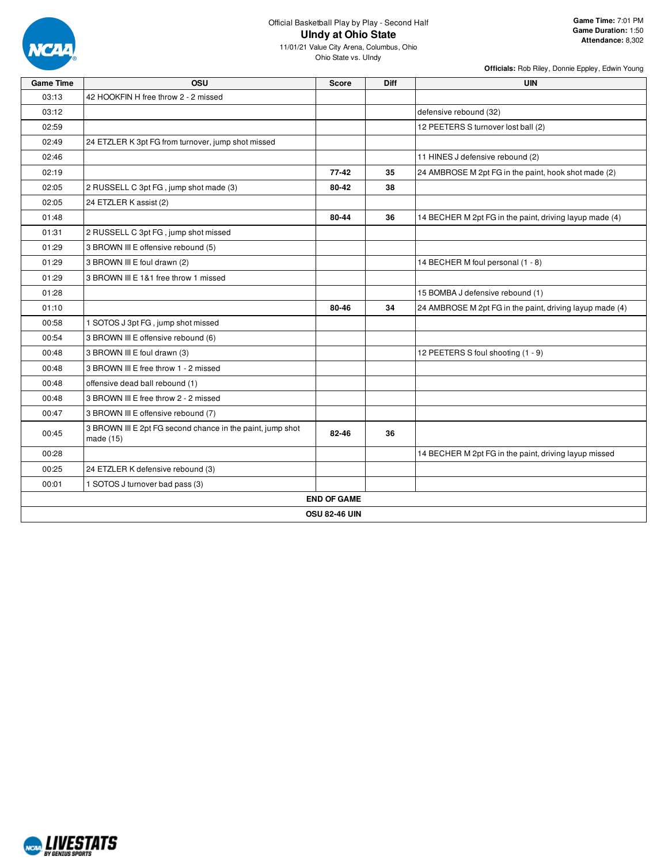

11/01/21 Value City Arena, Columbus, Ohio Ohio State vs. UIndy

| <b>Game Time</b> | <b>OSU</b>                                                                | <b>Score</b>         | <b>Diff</b> | <b>UIN</b>                                               |
|------------------|---------------------------------------------------------------------------|----------------------|-------------|----------------------------------------------------------|
| 03:13            | 42 HOOKFIN H free throw 2 - 2 missed                                      |                      |             |                                                          |
| 03:12            |                                                                           |                      |             | defensive rebound (32)                                   |
| 02:59            |                                                                           |                      |             | 12 PEETERS S turnover lost ball (2)                      |
| 02:49            | 24 ETZLER K 3pt FG from turnover, jump shot missed                        |                      |             |                                                          |
| 02:46            |                                                                           |                      |             | 11 HINES J defensive rebound (2)                         |
| 02:19            |                                                                           | 77-42                | 35          | 24 AMBROSE M 2pt FG in the paint, hook shot made (2)     |
| 02:05            | 2 RUSSELL C 3pt FG, jump shot made (3)                                    | 80-42                | 38          |                                                          |
| 02:05            | 24 ETZLER K assist (2)                                                    |                      |             |                                                          |
| 01:48            |                                                                           | 80-44                | 36          | 14 BECHER M 2pt FG in the paint, driving layup made (4)  |
| 01:31            | 2 RUSSELL C 3pt FG, jump shot missed                                      |                      |             |                                                          |
| 01:29            | 3 BROWN III E offensive rebound (5)                                       |                      |             |                                                          |
| 01:29            | 3 BROWN III E foul drawn (2)                                              |                      |             | 14 BECHER M foul personal (1 - 8)                        |
| 01:29            | 3 BROWN III E 1&1 free throw 1 missed                                     |                      |             |                                                          |
| 01:28            |                                                                           |                      |             | 15 BOMBA J defensive rebound (1)                         |
| 01:10            |                                                                           | 80-46                | 34          | 24 AMBROSE M 2pt FG in the paint, driving layup made (4) |
| 00:58            | 1 SOTOS J 3pt FG, jump shot missed                                        |                      |             |                                                          |
| 00:54            | 3 BROWN III E offensive rebound (6)                                       |                      |             |                                                          |
| 00:48            | 3 BROWN III E foul drawn (3)                                              |                      |             | 12 PEETERS S foul shooting (1 - 9)                       |
| 00:48            | 3 BROWN III E free throw 1 - 2 missed                                     |                      |             |                                                          |
| 00:48            | offensive dead ball rebound (1)                                           |                      |             |                                                          |
| 00:48            | 3 BROWN III E free throw 2 - 2 missed                                     |                      |             |                                                          |
| 00:47            | 3 BROWN III E offensive rebound (7)                                       |                      |             |                                                          |
| 00:45            | 3 BROWN III E 2pt FG second chance in the paint, jump shot<br>made $(15)$ | 82-46                | 36          |                                                          |
| 00:28            |                                                                           |                      |             | 14 BECHER M 2pt FG in the paint, driving layup missed    |
| 00:25            | 24 ETZLER K defensive rebound (3)                                         |                      |             |                                                          |
| 00:01            | 1 SOTOS J turnover bad pass (3)                                           |                      |             |                                                          |
|                  |                                                                           | <b>END OF GAME</b>   |             |                                                          |
|                  |                                                                           | <b>OSU 82-46 UIN</b> |             |                                                          |

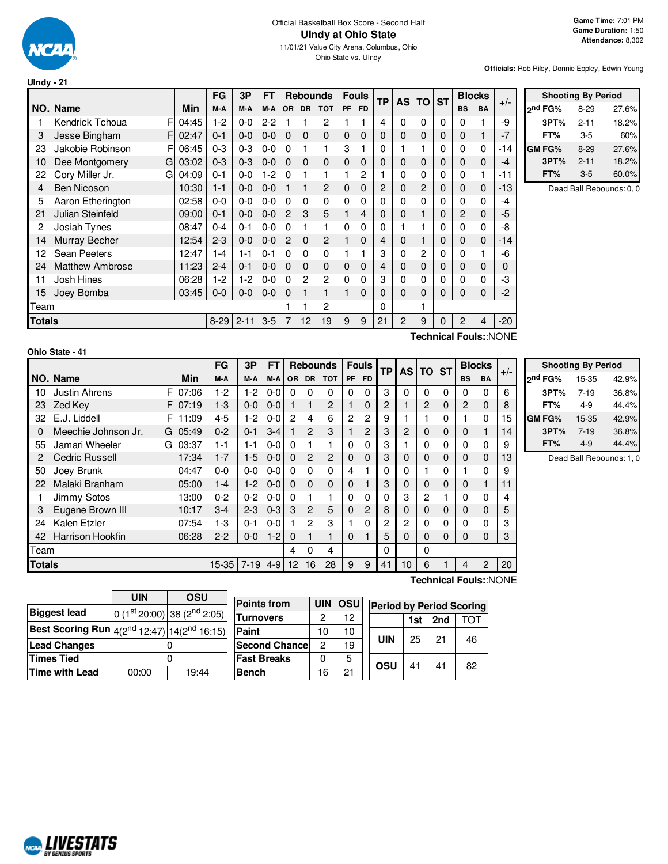

Ohio State vs. UIndy

**Officials:** Rob Riley, Donnie Eppley, Edwin Young

|               |                        |       | <b>FG</b> | 3P       | FT      |                | <b>Rebounds</b> |                |           | <b>Fouls</b> | <b>TP</b>      | <b>AS</b> | TO             | <b>ST</b> |           | <b>Blocks</b> | $+/-$ |
|---------------|------------------------|-------|-----------|----------|---------|----------------|-----------------|----------------|-----------|--------------|----------------|-----------|----------------|-----------|-----------|---------------|-------|
|               | NO. Name               | Min   | M-A       | M-A      | M-A     | <b>OR</b>      | <b>DR</b>       | <b>TOT</b>     | <b>PF</b> | <b>FD</b>    |                |           |                |           | <b>BS</b> | BA            |       |
| 1             | F<br>Kendrick Tchoua   | 04:45 | $1-2$     | $0 - 0$  | $2-2$   |                |                 | 2              |           |              | 4              | 0         | $\Omega$       | $\Omega$  | 0         | 1             | -9    |
| 3             | Jesse Bingham<br>F     | 02:47 | $0 - 1$   | $0 - 0$  | $0-0$   | $\Omega$       | $\Omega$        | $\mathbf 0$    | 0         | $\Omega$     | 0              | 0         | 0              | $\Omega$  | $\Omega$  | 1             | $-7$  |
| 23            | Jakobie Robinson<br>F  | 06:45 | $0 - 3$   | $0 - 3$  | $0 - 0$ | $\Omega$       |                 | 1              | 3         |              | 0              |           |                | 0         | 0         | 0             | -14   |
| 10            | Dee Montgomery<br>G    | 03:02 | $0 - 3$   | $0 - 3$  | $0-0$   | $\Omega$       | $\Omega$        | $\mathbf 0$    | 0         | $\Omega$     | $\mathbf 0$    | 0         | 0              | 0         | 0         | $\mathbf 0$   | $-4$  |
| 22            | Cory Miller Jr.<br>G   | 04:09 | $0 - 1$   | $0-0$    | $1-2$   | $\Omega$       |                 | 1              |           | 2            |                | 0         | 0              | 0         | 0         | 1             | -11   |
| 4             | <b>Ben Nicoson</b>     | 10:30 | $1 - 1$   | $0 - 0$  | $0 - 0$ |                |                 | 2              | 0         | $\Omega$     | 2              | 0         | $\overline{2}$ | 0         | 0         | $\mathbf 0$   | $-13$ |
| 5             | Aaron Etherington      | 02:58 | $0-0$     | 0-0      | 0-0     | $\Omega$       | $\Omega$        | 0              | 0         | $\Omega$     | 0              | 0         | 0              | 0         | 0         | 0             | -4    |
| 21            | Julian Steinfeld       | 09:00 | $0 - 1$   | $0 - 0$  | $0-0$   | $\overline{2}$ | 3               | 5              |           | 4            | 0              | 0         | 1              | 0         | 2         | $\mathbf 0$   | -5    |
| 2             | Josiah Tynes           | 08:47 | $0 - 4$   | $0 - 1$  | $0 - 0$ | $\Omega$       | 1               | 1              | 0         | $\Omega$     | 0              |           |                | 0         | 0         | 0             | -8    |
| 14            | Murray Becher          | 12:54 | $2 - 3$   | $0 - 0$  | $0-0$   | 2              | $\Omega$        | $\overline{2}$ |           | $\Omega$     | 4              | 0         | 1              | 0         | $\Omega$  | $\mathbf 0$   | $-14$ |
| 12            | Sean Peeters           | 12:47 | $1 - 4$   | 1-1      | $0 - 1$ | 0              | $\Omega$        | $\Omega$       |           |              | 3              | 0         | 2              | 0         | 0         | 1             | -6    |
| 24            | <b>Matthew Ambrose</b> | 11:23 | $2 - 4$   | $0 - 1$  | $0-0$   | $\Omega$       | $\Omega$        | $\Omega$       | $\Omega$  | $\Omega$     | $\overline{4}$ | 0         | $\Omega$       | 0         | 0         | $\mathbf 0$   | 0     |
| 11            | Josh Hines             | 06:28 | $1-2$     | 1-2      | $0 - 0$ | $\Omega$       | $\overline{c}$  | 2              | $\Omega$  | $\Omega$     | 3              | 0         | 0              | $\Omega$  | 0         | 0             | -3    |
| 15            | Joey Bomba             | 03:45 | $0 - 0$   | $0-0$    | $0 - 0$ | $\Omega$       |                 | 1              |           | $\Omega$     | $\Omega$       | $\Omega$  | 0              | 0         | 0         | $\mathbf 0$   | $-2$  |
| Team          |                        |       |           |          |         |                |                 | $\overline{2}$ |           |              | 0              |           | 1              |           |           |               |       |
| <b>Totals</b> |                        |       | $8 - 29$  | $2 - 11$ | $3-5$   | 7              | 12              | 19             | 9         | 9            | 21             | 2         | 9              | 0         | 2         | 4             | $-20$ |
|               |                        |       |           |          |         |                |                 |                |           |              |                |           |                |           |           |               |       |

| <b>Shooting By Period</b> |          |       |  |  |  |  |  |  |  |  |
|---------------------------|----------|-------|--|--|--|--|--|--|--|--|
| ond FG%                   | $8-29$   | 27.6% |  |  |  |  |  |  |  |  |
| 3PT%                      | $2 - 11$ | 18.2% |  |  |  |  |  |  |  |  |
| FT%                       | $3-5$    | 60%   |  |  |  |  |  |  |  |  |
| GM FG%                    | $8-29$   | 27.6% |  |  |  |  |  |  |  |  |
| 3PT%                      | $2 - 11$ | 18.2% |  |  |  |  |  |  |  |  |
| FT%                       | $3 - 5$  | 60.0% |  |  |  |  |  |  |  |  |

Dead Ball Rebounds: 0, 0

| Ohio State - 41 |  |  |  |  |
|-----------------|--|--|--|--|
|-----------------|--|--|--|--|

**Technical Fouls:**:NONE

|               |                           |       | FG        | 3P         | <b>FT</b> |                |                | <b>Rebounds</b> |                | <b>Fouls</b> | <b>TP</b> |                 | AS TO    | <b>ST</b> |                | <b>Blocks</b>  | $+/-$ |                |
|---------------|---------------------------|-------|-----------|------------|-----------|----------------|----------------|-----------------|----------------|--------------|-----------|-----------------|----------|-----------|----------------|----------------|-------|----------------|
|               | NO. Name                  | Min   | M-A       | M-A        | M-A       | <b>OR</b>      |                | DR TOT          | PF             | <b>FD</b>    |           |                 |          |           | <b>BS</b>      | <b>BA</b>      |       | 2 <sup>n</sup> |
| 10            | <b>Justin Ahrens</b><br>F | 07:06 | $1-2$     | $1-2$      | $0 - 0$   | 0              | 0              | 0               | 0              | $\Omega$     | 3         | $\Omega$        | 0        | $\Omega$  | 0              | 0              | 6     |                |
| 23            | Zed Key<br>FI             | 07:19 | $1 - 3$   | $0 - 0$    | $0-0$     |                | 1              | 2               |                | 0            | 2         |                 | 2        | 0         | $\overline{c}$ | $\Omega$       | 8     |                |
| 32            | E.J. Liddell<br>F         | 11:09 | $4 - 5$   | $1-2$      | $0 - 0$   | $\overline{2}$ | 4              | 6               | $\overline{c}$ | 2            | 9         |                 |          | 0         |                | 0              | 15    | GN             |
| 0             | Meechie Johnson Jr.<br>GI | 05:49 | $0 - 2$   | $0 - 1$    | $3 - 4$   |                | $\mathcal{P}$  | 3               |                | 2            | 3         | 2               | 0        | 0         | 0              |                | 14    |                |
| 55            | Jamari Wheeler<br>Gl      | 03:37 | 1-1       | $1 - 1$    | $0-0$     | 0              |                |                 | $\Omega$       | $\Omega$     | 3         |                 | 0        | 0         | 0              | 0              | 9     |                |
|               | <b>Cedric Russell</b>     | 17:34 | $1 - 7$   | $1 - 5$    | $0-0$     | $\Omega$       | $\overline{2}$ | 2               | 0              | $\Omega$     | 3         | 0               | $\Omega$ | 0         | 0              | $\Omega$       | 13    |                |
| 50            | Joey Brunk                | 04:47 | 0-0       | $0 - 0$    | $0 - 0$   | 0              | $\Omega$       | $\Omega$        | 4              |              | 0         | 0               |          | 0         |                | 0              | 9     |                |
| 22            | Malaki Branham            | 05:00 | $1 - 4$   | $1-2$      | $0 - 0$   | $\Omega$       | $\Omega$       | 0               | 0              |              | 3         | 0               | 0        | 0         | 0              |                | 11    |                |
|               | Jimmy Sotos               | 13:00 | $0 - 2$   | $0 - 2$    | $0-0$     | 0              |                | 1               | $\Omega$       | $\Omega$     | 0         | 3               | 2        |           | 0              | 0              | 4     |                |
| 3             | Eugene Brown III          | 10:17 | $3-4$     | $2 - 3$    | $0 - 3$   | 3              | $\mathcal{P}$  | 5               | $\Omega$       | 2            | 8         | 0               | 0        | 0         | 0              | $\Omega$       | 5     |                |
| 24            | Kalen Etzler              | 07:54 | 1-3       | $0 - 1$    | $0 - 0$   |                | 2              | 3               |                | 0            | 2         | 2               | 0        | 0         | 0              | $\Omega$       | 3     |                |
| 42            | <b>Harrison Hookfin</b>   | 06:28 | $2 - 2$   | $0 - 0$    | $1-2$     | 0              |                | 1               | $\Omega$       |              | 5         | 0               | 0        | 0         | $\Omega$       | $\Omega$       | 3     |                |
| Team          |                           |       |           |            |           | 4              | 0              | 4               |                |              | 0         |                 | 0        |           |                |                |       |                |
| <b>Totals</b> |                           |       | $15 - 35$ | $7-19$ 4-9 |           | 12             | 16             | 28              | 9              | 9            | 41        | 10 <sup>1</sup> | 6        |           | 4              | $\overline{2}$ | 20    |                |

**Shooting By Period nd FG%** 15-35 42.9% **3PT%** 7-19 36.8% **FT%** 4-9 44.4% **GM FG%** 15-35 42.9% **3PT%** 7-19 36.8% **FT%** 4-9 44.4%

Dead Ball Rebounds: 1, 0

|                                                                      | <b>UIN</b> | OSU                                     |  |
|----------------------------------------------------------------------|------------|-----------------------------------------|--|
| <b>Biggest lead</b>                                                  |            | 0 (1st 20:00) 38 (2 <sup>nd</sup> 2:05) |  |
| <b>Best Scoring Run</b> $\left 4(2^{nd}12:47)\right 14(2^{nd}16:15)$ |            |                                         |  |
| <b>Lead Changes</b>                                                  |            |                                         |  |
| <b>Times Tied</b>                                                    |            |                                         |  |
| Time with Lead                                                       | 00:00      | 19:44                                   |  |

| <b>Points from</b>    | <b>UIN</b> | losu | <b>Period</b> |
|-----------------------|------------|------|---------------|
| <b>Turnovers</b>      | 2          | 12   |               |
| Paint                 | 10         | 10   |               |
| <b>Second Chancel</b> | 2          | 19   | UIN           |
| <b>Fast Breaks</b>    | U          | 5    |               |
| <b>Bench</b>          | 16         | 21   | OSU           |
|                       |            |      |               |

**Technical Fouls:**:NONE

| <b>Period by Period Scoring</b> |    |    |    |  |  |  |  |  |  |  |  |  |  |
|---------------------------------|----|----|----|--|--|--|--|--|--|--|--|--|--|
| 2nd<br>тот<br>1st l             |    |    |    |  |  |  |  |  |  |  |  |  |  |
| UIN                             | 25 | 21 | 46 |  |  |  |  |  |  |  |  |  |  |
| osu                             | 41 | 41 | 82 |  |  |  |  |  |  |  |  |  |  |

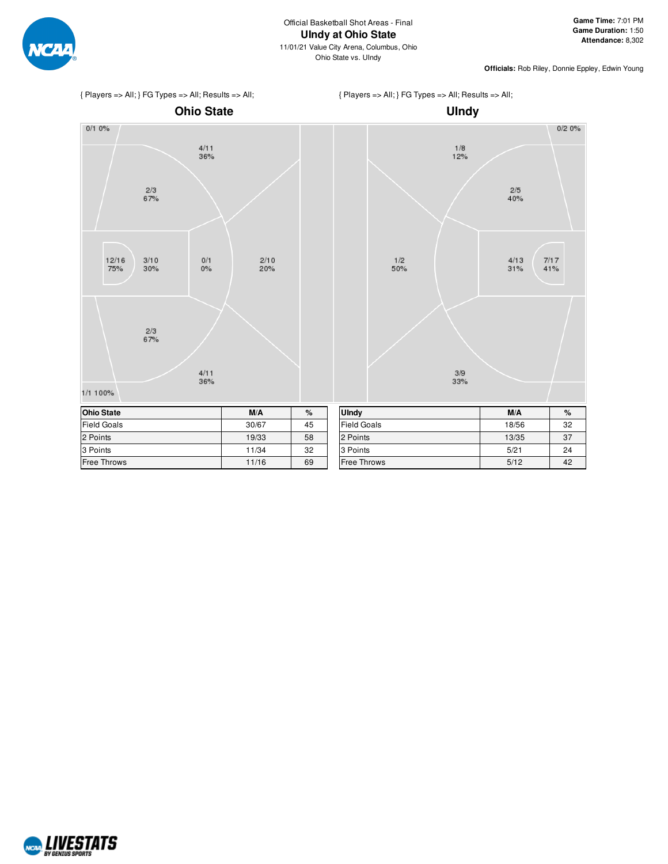

{ Players => All; } FG Types => All; Results => All;

**Officials:** Rob Riley, Donnie Eppley, Edwin Young

 $0/20%$ 

 $\frac{7}{17}$ <br>41%





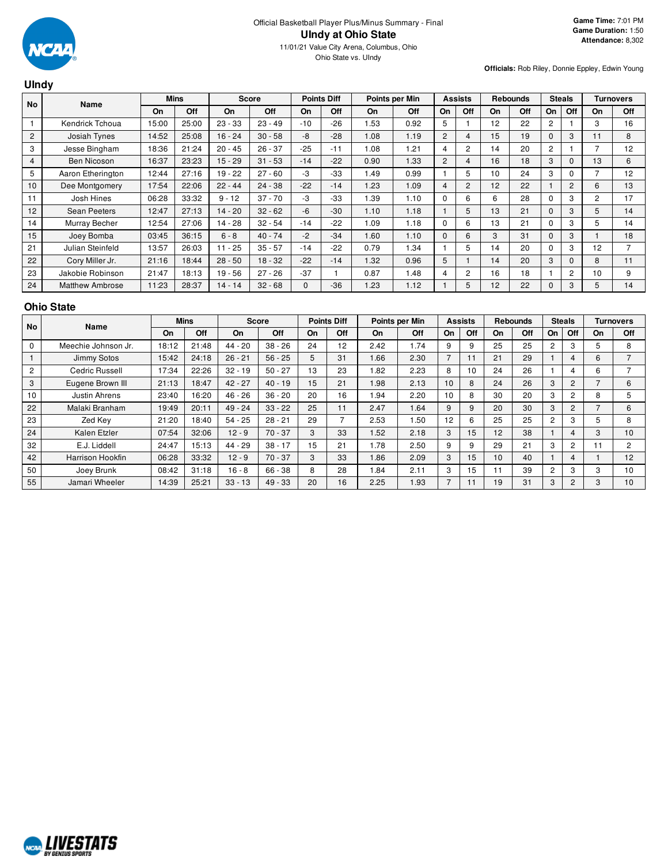

#### **UIndy No Name Mins Score Points Diff Points per Min Assists Rebounds Steals Turnovers On Off On Off On Off On Off On Off On Off On Off On Off** 1 | Kendrick Tchoua | 15:00 | 25:00 | 23 - 33 | 23 - 49 | -10 | -26 | 1.53 | 0.92 | 5 | 1 | 12 | 22 | 2 | 1 | 3 | 16 2 | Josiah Tynes | 14:52 | 25:08 | 16 - 24 | 30 - 58 | -8 | -28 | 1.08 | 1.19 | 2 | 4 | 15 | 19 | 0 | 3 | 11 | 8 3 | Jesse Bingham | 18:36 | 21:24 | 20 - 45 | 26 - 37 | -25 | -11 | 1.08 | 1.21 | 4 | 2 | 14 | 20 | 2 | 1 | 7 | 12 4 | Ben Nicoson | 16:37 | 23:23 | 15 - 29 | 31 - 53 | -14 | -22 | 0.90 | 1.33 | 2 | 4 | 16 | 18 | 3 | 0 | 13 | 6 5 Aaron Etherington 12:44 27:16 19 - 22 27 - 60 - 3 - 33 1.49 0.99 1 5 10 24 3 0 7 12 10 Dee Montgomery 17:54 22:06 22 - 44 24 - 38 - 22 - 14 1.23 1.09 4 2 12 22 1 2 6 13 11 | Josh Hines | 06:28 | 33:32 | 9-12 | 37-70 | -3 | -33 | 1.39 | 1.10 | 0 | 6 | 6 | 28 | 0 | 3 | 2 | 17 12 | Sean Peeters | 12:47 | 27:13 | 14 - 20 | 32 - 62 | -6 | -30 | 1.10 | 1.18 | 1 | 5 | 13 | 21 | 0 | 3 | 5 | 14 14 | Murray Becher | 12:54 | 27:06 | 14 - 28 | 32 - 54 | -14 | -22 | 1.09 | 1.18 | 0 | 6 | 13 | 21 | 0 | 3 | 5 | 14 15 | Joey Bomba | 03:45 | 36:15 | 6 - 8 | 40 - 74 | -2 | -34 | 1.60 | 1.10 | 0 | 6 | 3 | 31 | 0 | 3 | 1 | 18 21 | Julian Steinfeld | 13:57 | 26:03 | 11 - 25 | 35 - 57 | -14 | -22 | 0.79 | 1.34 | 1 | 5 | 14 | 20 | 0 | 3 | 12 | 7 22 | Cory Miller Jr. | 21:16 | 18:44 | 28 - 50 | 18 - 32 | -22 | -14 | 1.32 | 0.96 | 5 | 1 | 14 | 20 | 3 | 0 | 8 | 11 23 | Jakobie Robinson | 21:47 | 18:13 | 19 - 56 | 27 - 26 | -37 | 1 | 0.87 | 1.48 | 4 | 2 | 16 | 18 | 1 | 2 | 10 | 9 24 | Matthew Ambrose | 11:23 | 28:37 | 14 - 14 | 32 - 68 | 0 | -36 | 1.23 | 1.12 | 1 | 5 | 12 | 22 | 0 | 3 | 5 | 14

#### **Ohio State**

| No             | Name                |       | <b>Mins</b> |           | <b>Score</b> |    | <b>Points Diff</b> |      | Points per Min |                          | <b>Assists</b> |           | <b>Rebounds</b> |                | <b>Steals</b>  |           | Turnovers      |
|----------------|---------------------|-------|-------------|-----------|--------------|----|--------------------|------|----------------|--------------------------|----------------|-----------|-----------------|----------------|----------------|-----------|----------------|
|                |                     | On    | Off         | On        | Off          | On | Off                | On   | Off            | On                       | Off            | <b>On</b> | Off             | On             | Off            | <b>On</b> | Off            |
| 0              | Meechie Johnson Jr. | 18:12 | 21:48       | $44 - 20$ | $38 - 26$    | 24 | 12                 | 2.42 | 1.74           | 9                        | 9              | 25        | 25              | 2              | 3              | 5         | 8              |
|                | Jimmy Sotos         | 15:42 | 24:18       | $26 - 21$ | $56 - 25$    | 5  | 31                 | 1.66 | 2.30           | $\overline{\phantom{a}}$ |                | 21        | 29              |                | 4              | 6         | $\overline{ }$ |
| $\overline{c}$ | Cedric Russell      | 17:34 | 22:26       | $32 - 19$ | $50 - 27$    | 13 | 23                 | 1.82 | 2.23           | 8                        | 10             | 24        | 26              |                | 4              | 6         |                |
| 3              | Eugene Brown III    | 21:13 | 18:47       | $42 - 27$ | $40 - 19$    | 15 | 21                 | 1.98 | 2.13           | 10                       | 8              | 24        | 26              | 3              | $\mathbf{2}$   |           | 6              |
| 10             | Justin Ahrens       | 23:40 | 16:20       | $46 - 26$ | $36 - 20$    | 20 | 16                 | 1.94 | 2.20           | 10                       | 8              | 30        | 20              | 3              | 2              | 8         | 5              |
| 22             | Malaki Branham      | 19:49 | 20:11       | $49 - 24$ | $33 - 22$    | 25 | 11                 | 2.47 | 1.64           | 9                        | 9              | 20        | 30              | 3              | $\overline{c}$ |           | 6              |
| 23             | Zed Key             | 21:20 | 18:40       | $54 - 25$ | $28 - 21$    | 29 |                    | 2.53 | .50            | 12                       | 6              | 25        | 25              | $\overline{2}$ | 3              | .h        | 8              |
| 24             | Kalen Etzler        | 07:54 | 32:06       | $12 - 9$  | $70 - 37$    | 3  | 33                 | 1.52 | 2.18           | 3                        | 15             | 12        | 38              |                | 4              | 3         | 10             |
| 32             | E.J. Liddell        | 24:47 | 15:13       | 44 - 29   | $38 - 17$    | 15 | 21                 | 1.78 | 2.50           | 9                        | 9              | 29        | 21              | 3              | 2              |           | 2              |
| 42             | Harrison Hookfin    | 06:28 | 33:32       | $12 - 9$  | $70 - 37$    | 3  | 33                 | 1.86 | 2.09           | 3                        | 15             | 10        | 40              |                | 4              |           | 12             |
| 50             | Joey Brunk          | 08:42 | 31:18       | $16 - 8$  | $66 - 38$    | 8  | 28                 | 1.84 | 2.11           | 3                        | 15             | -1        | 39              | $\overline{2}$ | 3              | 3         | 10             |
| 55             | Jamari Wheeler      | 14:39 | 25:21       | $33 - 13$ | $49 - 33$    | 20 | 16                 | 2.25 | 1.93           | 7                        |                | 19        | 31              | 3              | 2              | 3         | 10             |

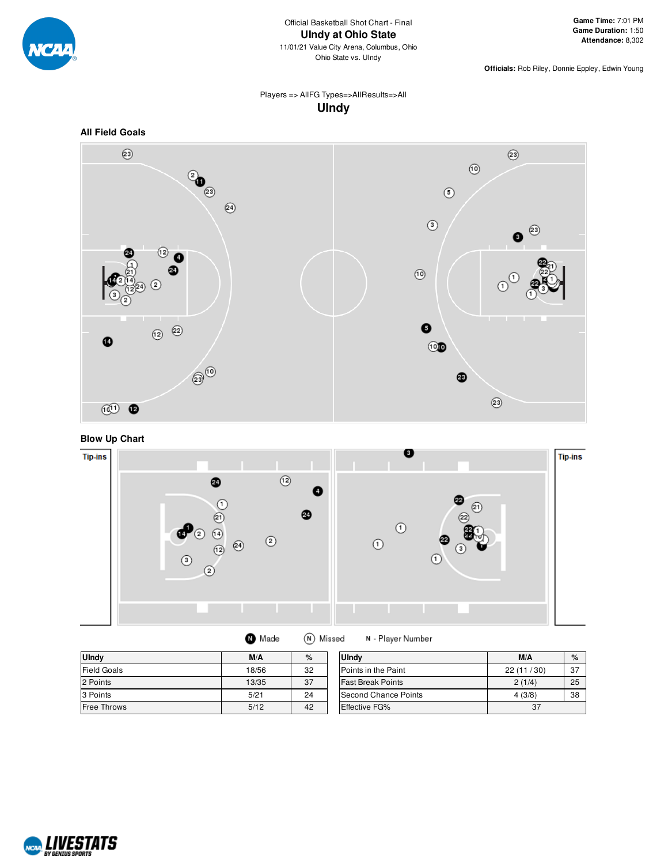

### Players => AllFG Types=>AllResults=>All **UIndy**



**Blow Up Chart**



| <b>U</b> Indy      | M/A   | %  | <b>U</b> Indv              | M/A       | %  |
|--------------------|-------|----|----------------------------|-----------|----|
| <b>Field Goals</b> | 18/56 | 32 | <b>Points in the Paint</b> | 22(11/30) | 37 |
| 2 Points           | 13/35 | 37 | <b>Fast Break Points</b>   | 2(1/4)    | 25 |
| 3 Points           | 5/21  | 24 | Second Chance Points       | 4(3/8)    | 38 |
| <b>Free Throws</b> | 5/12  | 42 | Effective FG%              | 37        |    |

N - Player Number

**O** Made

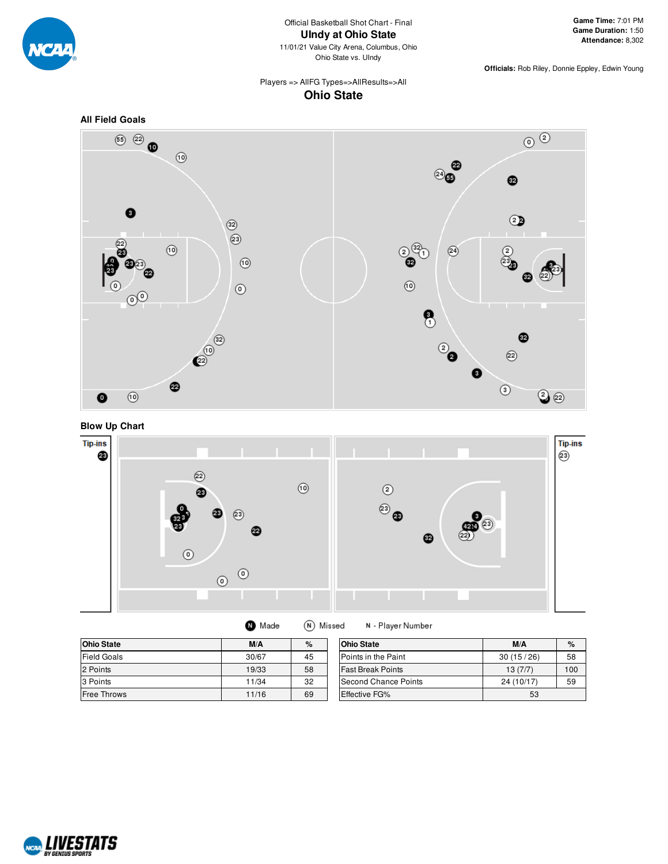

### Players => AllFG Types=>AllResults=>All **Ohio State**







| (N) Missed<br>Made |  |
|--------------------|--|
|--------------------|--|

N - Player Number

| <b>Ohio State</b>  | M/A   | %  | <b>Ohio State</b>        | M/A        | $\%$ |
|--------------------|-------|----|--------------------------|------------|------|
| <b>Field Goals</b> | 30/67 | 45 | Points in the Paint      | 30(15/26)  | 58   |
| 2 Points           | 19/33 | 58 | <b>Fast Break Points</b> | 13(7/7)    | 100  |
| 3 Points           | 11/34 | 32 | Second Chance Points     | 24 (10/17) | 59   |
| <b>Free Throws</b> | 11/16 | 69 | <b>Effective FG%</b>     | 53         |      |

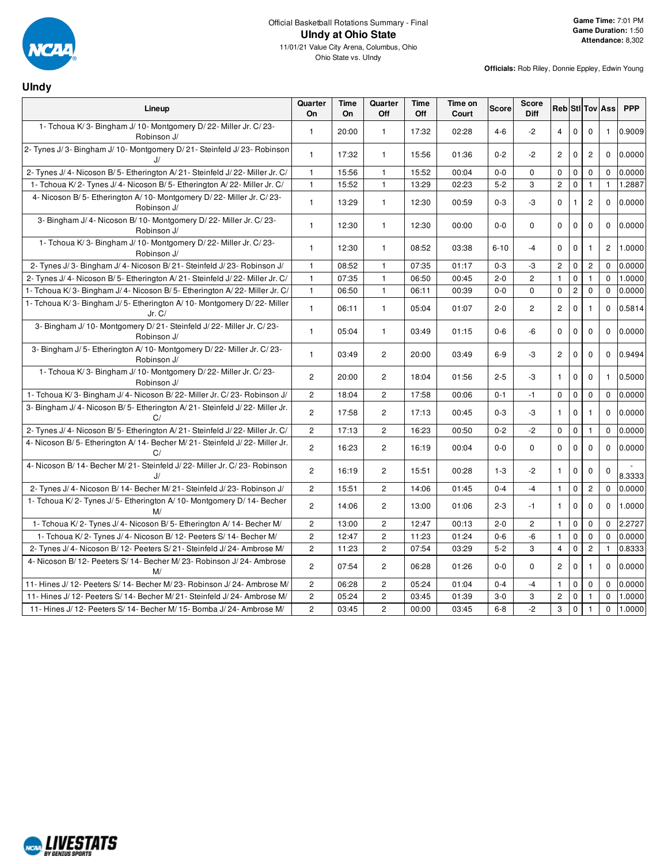

## **UIndy**

| Lineup                                                                                 | Quarter<br>On         | Time<br><b>On</b> | Quarter<br>Off | Time<br>Off | Time on<br>Court | <b>Score</b> | Score<br>Diff  |                |                |                | Reb Sti Tov Ass | <b>PPP</b> |
|----------------------------------------------------------------------------------------|-----------------------|-------------------|----------------|-------------|------------------|--------------|----------------|----------------|----------------|----------------|-----------------|------------|
| 1- Tchoua K/3- Bingham J/10- Montgomery D/22- Miller Jr. C/23-<br>Robinson J/          | $\mathbf{1}$          | 20:00             | $\mathbf{1}$   | 17:32       | 02:28            | $4 - 6$      | $-2$           | $\overline{4}$ | 0              | $\mathbf 0$    | $\mathbf{1}$    | 0.9009     |
| 2- Tynes J/3- Bingham J/10- Montgomery D/21- Steinfeld J/23- Robinson<br>J/            | $\mathbf{1}$          | 17:32             | $\mathbf{1}$   | 15:56       | 01:36            | $0 - 2$      | $-2$           | $\mathbf{2}$   | $\mathbf 0$    | $\overline{c}$ | 0               | 0.0000     |
| 2- Tynes J/ 4- Nicoson B/ 5- Etherington A/ 21- Steinfeld J/ 22- Miller Jr. C/         | $\mathbf{1}$          | 15:56             | $\mathbf{1}$   | 15:52       | 00:04            | $0 - 0$      | $\mathbf 0$    | 0              | $\mathbf 0$    | $\mathbf 0$    | $\mathbf 0$     | 0.0000     |
| 1- Tchoua K/2- Tynes J/4- Nicoson B/5- Etherington A/22- Miller Jr. C/                 | $\mathbf{1}$          | 15:52             | $\mathbf{1}$   | 13:29       | 02:23            | $5-2$        | 3              | $\overline{c}$ | $\pmb{0}$      | $\mathbf{1}$   | $\mathbf{1}$    | 1.2887     |
| 4- Nicoson B/5- Etherington A/10- Montgomery D/22- Miller Jr. C/23-<br>Robinson J/     | $\mathbf{1}$          | 13:29             | $\mathbf{1}$   | 12:30       | 00:59            | $0 - 3$      | -3             | 0              | $\mathbf{1}$   | 2              | $\mathbf 0$     | 0.0000     |
| 3- Bingham J/ 4- Nicoson B/ 10- Montgomery D/ 22- Miller Jr. C/ 23-<br>Robinson J/     | $\mathbf{1}$          | 12:30             | $\mathbf{1}$   | 12:30       | 00:00            | $0 - 0$      | $\mathbf 0$    | $\Omega$       | $\mathbf 0$    | $\mathbf 0$    | $\mathbf 0$     | 0.0000     |
| 1- Tchoua K/3- Bingham J/10- Montgomery D/22- Miller Jr. C/23-<br>Robinson J/          | $\mathbf{1}$          | 12:30             | $\mathbf{1}$   | 08:52       | 03:38            | $6 - 10$     | $-4$           | $\mathbf 0$    | $\mathbf 0$    | $\mathbf{1}$   | $\overline{2}$  | 1.0000     |
| 2- Tynes J/3- Bingham J/4- Nicoson B/21- Steinfeld J/23- Robinson J/                   | $\mathbf{1}$          | 08:52             | $\mathbf{1}$   | 07:35       | 01:17            | $0 - 3$      | -3             | $\overline{c}$ | $\pmb{0}$      | $\overline{c}$ | $\mathbf 0$     | 0.0000     |
| 2- Tynes J/ 4- Nicoson B/ 5- Etherington A/ 21- Steinfeld J/ 22- Miller Jr. C/         | $\mathbf{1}$          | 07:35             | $\mathbf{1}$   | 06:50       | 00:45            | $2 - 0$      | $\overline{c}$ | $\mathbf{1}$   | $\mathbf 0$    | $\mathbf{1}$   | $\mathbf 0$     | 1.0000     |
| 1- Tchoua K/3- Bingham J/4- Nicoson B/5- Etherington A/22- Miller Jr. C/               | $\mathbf{1}$          | 06:50             | $\mathbf{1}$   | 06:11       | 00:39            | $0-0$        | $\mathbf 0$    | $\mathsf 0$    | $\overline{c}$ | $\mathsf 0$    | $\mathbf 0$     | 0.0000     |
| 1- Tchoua K/3- Bingham J/5- Etherington A/10- Montgomery D/22- Miller<br>$Jr$ . $C/$   | $\mathbf{1}$          | 06:11             | $\mathbf{1}$   | 05:04       | 01:07            | $2 - 0$      | $\overline{2}$ | $\overline{c}$ | $\mathbf 0$    | 1              | $\mathbf 0$     | 0.5814     |
| 3- Bingham J/ 10- Montgomery D/ 21- Steinfeld J/ 22- Miller Jr. C/ 23-<br>Robinson J/  | $\mathbf{1}$          | 05:04             | $\mathbf{1}$   | 03:49       | 01:15            | $0 - 6$      | $-6$           | $\mathbf 0$    | $\pmb{0}$      | $\mathbf 0$    | $\mathbf 0$     | 0.0000     |
| 3- Bingham J/ 5- Etherington A/ 10- Montgomery D/ 22- Miller Jr. C/ 23-<br>Robinson J/ | $\mathbf{1}$          | 03:49             | $\overline{c}$ | 20:00       | 03:49            | $6-9$        | -3             | $\mathbf{2}$   | $\mathbf 0$    | $\mathbf 0$    | 0               | 0.9494     |
| 1- Tchoua K/3- Bingham J/10- Montgomery D/22- Miller Jr. C/23-<br>Robinson J/          | $\overline{2}$        | 20:00             | $\overline{c}$ | 18:04       | 01:56            | $2 - 5$      | -3             | $\mathbf{1}$   | $\mathbf 0$    | $\mathbf 0$    | $\mathbf{1}$    | 0.5000     |
| 1- Tchoua K/3- Bingham J/4- Nicoson B/22- Miller Jr. C/23- Robinson J/                 | $\mathbf{2}$          | 18:04             | $\overline{c}$ | 17:58       | 00:06            | $0 - 1$      | $-1$           | $\mathbf 0$    | $\mathbf 0$    | $\mathsf 0$    | $\mathbf{0}$    | 0.0000     |
| 3- Bingham J/4- Nicoson B/5- Etherington A/21- Steinfeld J/22- Miller Jr.<br>C/        | $\overline{2}$        | 17:58             | $\overline{c}$ | 17:13       | 00:45            | $0 - 3$      | -3             | $\mathbf{1}$   | $\mathbf 0$    | $\mathbf{1}$   | $\mathbf 0$     | 0.0000     |
| 2- Tynes J/ 4- Nicoson B/ 5- Etherington A/ 21- Steinfeld J/ 22- Miller Jr. C/         | $\mathbf{2}$          | 17:13             | $\overline{2}$ | 16:23       | 00:50            | $0 - 2$      | $-2$           | $\mathbf 0$    | $\mathbf 0$    | $\mathbf{1}$   | $\mathbf{0}$    | 0.0000     |
| 4- Nicoson B/5- Etherington A/14- Becher M/21- Steinfeld J/22- Miller Jr.<br>C/        | $\overline{2}$        | 16:23             | $\overline{c}$ | 16:19       | 00:04            | $0 - 0$      | $\mathbf 0$    | $\mathbf 0$    | $\mathbf 0$    | $\mathbf{0}$   | $\mathbf 0$     | 0.0000     |
| 4- Nicoson B/ 14- Becher M/ 21- Steinfeld J/ 22- Miller Jr. C/ 23- Robinson<br>J       | $\overline{2}$        | 16:19             | $\overline{2}$ | 15:51       | 00:28            | $1 - 3$      | $-2$           | $\mathbf{1}$   | $\mathbf 0$    | $\mathbf 0$    | $\mathbf 0$     | 8.3333     |
| 2- Tynes J/ 4- Nicoson B/ 14- Becher M/ 21- Steinfeld J/ 23- Robinson J/               | $\overline{2}$        | 15:51             | $\overline{2}$ | 14:06       | 01:45            | $0 - 4$      | $-4$           | $\mathbf{1}$   | $\pmb{0}$      | $\overline{c}$ | $\mathbf 0$     | 0.0000     |
| 1- Tchoua K/2- Tynes J/5- Etherington A/10- Montgomery D/14- Becher<br>M/              | $\overline{2}$        | 14:06             | $\overline{c}$ | 13:00       | 01:06            | $2 - 3$      | $-1$           | $\mathbf{1}$   | $\mathbf 0$    | $\mathbf 0$    | $\mathbf 0$     | 1.0000     |
| 1- Tchoua K/2- Tynes J/4- Nicoson B/5- Etherington A/14- Becher M/                     | $\mathbf{2}$          | 13:00             | $\overline{c}$ | 12:47       | 00:13            | $2 - 0$      | $\mathbf{2}$   | $\mathbf{1}$   | $\mathbf 0$    | $\mathbf 0$    | $\mathbf 0$     | 2.2727     |
| 1- Tchoua K/2- Tynes J/4- Nicoson B/12- Peeters S/14- Becher M/                        | $\overline{2}$        | 12:47             | $\overline{2}$ | 11:23       | 01:24            | $0 - 6$      | $-6$           | $\mathbf{1}$   | $\mathsf 0$    | $\pmb{0}$      | $\Omega$        | 0.0000     |
| 2- Tynes J/ 4- Nicoson B/ 12- Peeters S/ 21- Steinfeld J/ 24- Ambrose M/               | $\overline{c}$        | 11:23             | $\overline{c}$ | 07:54       | 03:29            | $5-2$        | 3              | $\overline{4}$ | $\mathbf 0$    | $\overline{c}$ | $\mathbf{1}$    | 0.8333     |
| 4- Nicoson B/ 12- Peeters S/ 14- Becher M/ 23- Robinson J/ 24- Ambrose<br>M/           | $\mathbf{2}^{\prime}$ | 07:54             | $\overline{c}$ | 06:28       | 01:26            | $0 - 0$      | 0              | $\mathbf{2}$   | $\mathbf 0$    | $\mathbf{1}$   | 0               | 0.0000     |
| 11- Hines J/ 12- Peeters S/ 14- Becher M/ 23- Robinson J/ 24- Ambrose M/               | $\overline{2}$        | 06:28             | $\overline{2}$ | 05:24       | 01:04            | $0 - 4$      | $-4$           | $\mathbf{1}$   | $\mathbf 0$    | $\mathbf 0$    | $\mathbf 0$     | 0.0000     |
| 11- Hines J/ 12- Peeters S/ 14- Becher M/ 21- Steinfeld J/ 24- Ambrose M/              | $\overline{c}$        | 05:24             | $\overline{c}$ | 03:45       | 01:39            | $3-0$        | 3              | $\mathbf{2}$   | $\mathbf 0$    | 1              | $\mathbf 0$     | 1.0000     |
| 11- Hines J/ 12- Peeters S/ 14- Becher M/ 15- Bomba J/ 24- Ambrose M/                  | $\overline{c}$        | 03:45             | $\overline{c}$ | 00:00       | 03:45            | $6 - 8$      | $-2$           | 3              | $\mathbf 0$    |                | 0               | 1.0000     |

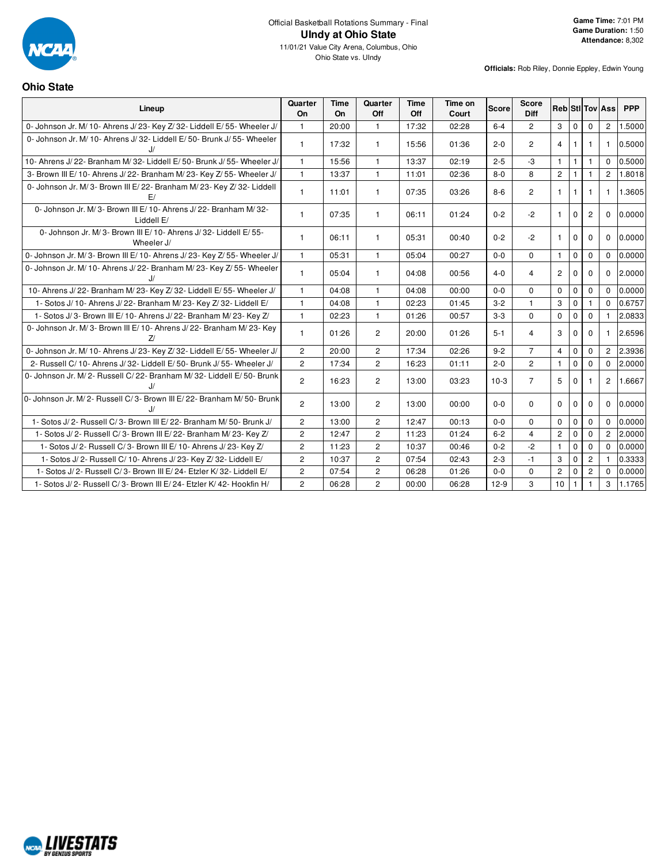

#### **Ohio State**

| Lineup                                                                       | Quarter<br>On  | <b>Time</b><br>On | Quarter<br>Off | <b>Time</b><br>Off | Time on<br>Court | <b>Score</b> | <b>Score</b><br><b>Diff</b> |                |              |                | <b>Reb Sti Tov Ass</b> | <b>PPP</b> |
|------------------------------------------------------------------------------|----------------|-------------------|----------------|--------------------|------------------|--------------|-----------------------------|----------------|--------------|----------------|------------------------|------------|
| 0- Johnson Jr. M/ 10- Ahrens J/ 23- Key Z/ 32- Liddell E/ 55- Wheeler J/     | $\mathbf{1}$   | 20:00             | $\mathbf{1}$   | 17:32              | 02:28            | $6 - 4$      | $\overline{2}$              | $\mathbf{3}$   | $\Omega$     | $\Omega$       | $\overline{2}$         | 1.5000     |
| 0- Johnson Jr. M/ 10- Ahrens J/ 32- Liddell E/ 50- Brunk J/ 55- Wheeler      | $\mathbf{1}$   | 17:32             | $\mathbf{1}$   | 15:56              | 01:36            | $2 - 0$      | $\overline{c}$              | $\overline{4}$ |              | 1              | -1                     | 0.5000     |
| 10- Ahrens J/22- Branham M/32- Liddell E/50- Brunk J/55- Wheeler J/          | $\mathbf{1}$   | 15:56             | $\mathbf{1}$   | 13:37              | 02:19            | $2 - 5$      | $-3$                        | $\mathbf{1}$   | $\mathbf{1}$ | 1              | $\Omega$               | 0.5000     |
| 3- Brown III E/10- Ahrens J/22- Branham M/23- Key Z/55- Wheeler J/           | $\mathbf{1}$   | 13:37             | $\mathbf{1}$   | 11:01              | 02:36            | $8-0$        | 8                           | $\mathbf{2}$   |              |                | $\overline{c}$         | 1.8018     |
| 0- Johnson Jr. M/3- Brown III E/22- Branham M/23- Key Z/32- Liddell          | $\mathbf{1}$   | 11:01             | $\mathbf{1}$   | 07:35              | 03:26            | $8 - 6$      | $\overline{c}$              | $\mathbf{1}$   | $\mathbf{1}$ | 1              | $\mathbf{1}$           | 1.3605     |
| 0- Johnson Jr. M/3- Brown III E/10- Ahrens J/22- Branham M/32-<br>Liddell E/ | $\mathbf{1}$   | 07:35             | $\mathbf{1}$   | 06:11              | 01:24            | $0 - 2$      | $-2$                        | $\mathbf{1}$   | $\mathbf 0$  | $\overline{2}$ | $\Omega$               | 0.0000     |
| 0- Johnson Jr. M/3- Brown III E/10- Ahrens J/32- Liddell E/55-<br>Wheeler J/ | $\mathbf{1}$   | 06:11             | $\mathbf{1}$   | 05:31              | 00:40            | $0 - 2$      | $-2$                        | $\mathbf{1}$   | $\Omega$     | $\Omega$       | $\Omega$               | 0.0000     |
| 0- Johnson Jr. M/3- Brown III E/10- Ahrens J/23- Key Z/55- Wheeler J/        | $\mathbf{1}$   | 05:31             | $\mathbf{1}$   | 05:04              | 00:27            | $0-0$        | $\Omega$                    | $\mathbf{1}$   | $\mathbf 0$  | $\mathbf 0$    | $\mathbf{0}$           | 0.0000     |
| 0- Johnson Jr. M/ 10- Ahrens J/ 22- Branham M/ 23- Key Z/ 55- Wheeler        | $\mathbf{1}$   | 05:04             | $\mathbf{1}$   | 04:08              | 00:56            | $4 - 0$      | 4                           | $\overline{2}$ | $\mathbf 0$  | $\mathbf 0$    | $\mathbf 0$            | 2.0000     |
| 10- Ahrens J/22- Branham M/23- Key Z/32- Liddell E/55- Wheeler J/            | $\mathbf{1}$   | 04:08             | $\mathbf{1}$   | 04:08              | 00:00            | $0-0$        | 0                           | $\mathbf 0$    | $\mathbf{0}$ | $\mathbf 0$    | $\Omega$               | 0.0000     |
| 1- Sotos J/ 10- Ahrens J/ 22- Branham M/ 23- Key Z/ 32- Liddell E/           | $\mathbf{1}$   | 04:08             | $\mathbf{1}$   | 02:23              | 01:45            | $3 - 2$      | $\mathbf{1}$                | 3              | $\Omega$     | 1              | $\Omega$               | 0.6757     |
| 1- Sotos J/3- Brown III E/10- Ahrens J/22- Branham M/23- Key Z/              | $\mathbf{1}$   | 02:23             | $\mathbf{1}$   | 01:26              | 00:57            | $3-3$        | 0                           | $\mathbf 0$    | $\Omega$     | $\mathbf 0$    |                        | 2.0833     |
| 0- Johnson Jr. M/3- Brown III E/10- Ahrens J/22- Branham M/23- Key<br>71     | $\mathbf{1}$   | 01:26             | $\overline{c}$ | 20:00              | 01:26            | $5 - 1$      | $\overline{4}$              | 3              | $\mathbf 0$  | 0              | -1                     | 2.6596     |
| 0- Johnson Jr. M/ 10- Ahrens J/ 23- Key Z/ 32- Liddell E/ 55- Wheeler J/     | $\overline{2}$ | 20:00             | $\overline{2}$ | 17:34              | 02:26            | $9 - 2$      | $\overline{7}$              | $\overline{4}$ | $\mathbf 0$  | $\mathbf 0$    | $\overline{2}$         | 2.3936     |
| 2- Russell C/ 10- Ahrens J/ 32- Liddell E/ 50- Brunk J/ 55- Wheeler J/       | $\overline{2}$ | 17:34             | $\overline{2}$ | 16:23              | 01:11            | $2 - 0$      | $\overline{2}$              | $\mathbf{1}$   | $\Omega$     | $\Omega$       | $\Omega$               | 2.0000     |
| 0- Johnson Jr. M/2- Russell C/22- Branham M/32- Liddell E/50- Brunk          | $\overline{2}$ | 16:23             | $\overline{2}$ | 13:00              | 03:23            | $10-3$       | $\overline{7}$              | 5              | $\mathbf 0$  |                | $\overline{c}$         | 1.6667     |
| 0- Johnson Jr. M/2- Russell C/3- Brown III E/22- Branham M/50- Brunk         | $\overline{2}$ | 13:00             | $\overline{c}$ | 13:00              | 00:00            | $0-0$        | 0                           | $\mathbf{0}$   | $\mathbf 0$  | $\mathbf 0$    | $\mathbf 0$            | 0.0000     |
| 1- Sotos J/2- Russell C/3- Brown III E/22- Branham M/50- Brunk J/            | $\overline{2}$ | 13:00             | $\overline{c}$ | 12:47              | 00:13            | $0-0$        | 0                           | $\Omega$       | $\mathbf{0}$ | $\mathbf 0$    | $\Omega$               | 0.0000     |
| 1- Sotos J/2- Russell C/3- Brown III E/22- Branham M/23- Key Z/              | $\overline{2}$ | 12:47             | $\overline{2}$ | 11:23              | 01:24            | $6 - 2$      | $\overline{4}$              | $\overline{2}$ | $\Omega$     | $\Omega$       | $\overline{2}$         | 2.0000     |
| 1- Sotos J/2- Russell C/3- Brown III E/10- Ahrens J/23- Key Z/               | $\overline{2}$ | 11:23             | $\overline{2}$ | 10:37              | 00:46            | $0 - 2$      | $-2$                        | $\mathbf{1}$   | $\mathbf{0}$ | $\mathbf 0$    | $\Omega$               | 0.0000     |
| 1- Sotos J/2- Russell C/10- Ahrens J/23- Key Z/32- Liddell E/                | $\overline{2}$ | 10:37             | $\overline{2}$ | 07:54              | 02:43            | $2 - 3$      | $-1$                        | 3              | $\mathbf 0$  | $\mathbf{2}$   |                        | 0.3333     |
| 1- Sotos J/2- Russell C/3- Brown III E/24- Etzler K/32- Liddell E/           | $\overline{2}$ | 07:54             | 2              | 06:28              | 01:26            | $0-0$        | 0                           | $\overline{2}$ | $\Omega$     | $\overline{c}$ | $\Omega$               | 0.0000     |
| 1- Sotos J/2- Russell C/3- Brown III E/24- Etzler K/42- Hookfin H/           | $\overline{2}$ | 06:28             | $\overline{2}$ | 00:00              | 06:28            | $12-9$       | 3                           | 10             | $\mathbf{1}$ | 1              | 3                      | 1.1765     |

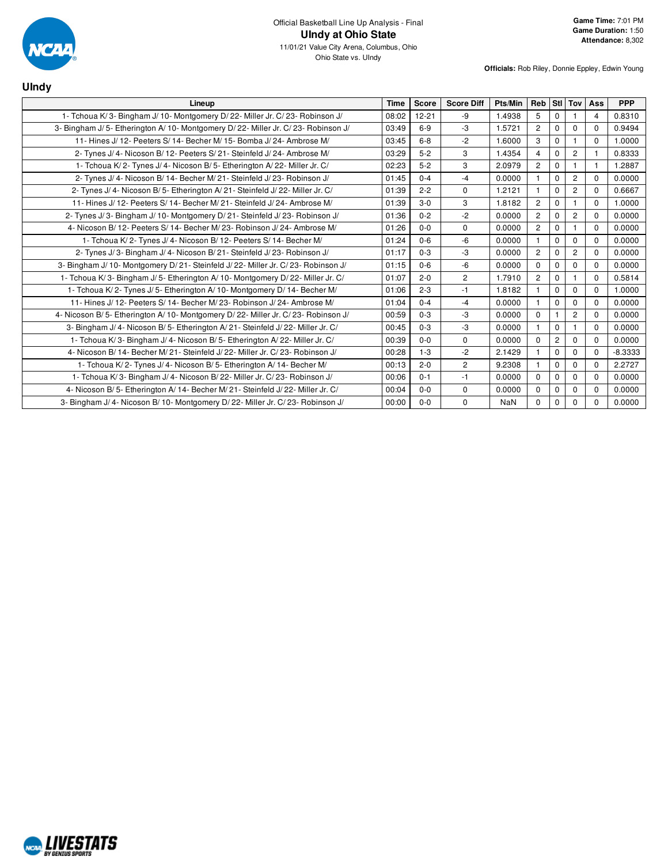

| <b>UIndy</b>                                                                        |             |           |                   |         |                |                |                |                |            |
|-------------------------------------------------------------------------------------|-------------|-----------|-------------------|---------|----------------|----------------|----------------|----------------|------------|
| Lineup                                                                              | <b>Time</b> | Score     | <b>Score Diff</b> | Pts/Min | Reb            |                | StI Tov        | Ass            | <b>PPP</b> |
| 1- Tchoua K/3- Bingham J/10- Montgomery D/22- Miller Jr. C/23- Robinson J/          | 08:02       | $12 - 21$ | -9                | 1.4938  | 5              | 0              |                | $\overline{4}$ | 0.8310     |
| 3- Bingham J/ 5- Etherington A/ 10- Montgomery D/ 22- Miller Jr. C/ 23- Robinson J/ | 03:49       | $6-9$     | -3                | 1.5721  | $\overline{2}$ | 0              | $\mathbf 0$    | $\Omega$       | 0.9494     |
| 11- Hines J/ 12- Peeters S/ 14- Becher M/ 15- Bomba J/ 24- Ambrose M/               | 03:45       | $6 - 8$   | $-2$              | 1.6000  | 3              | 0              |                | $\Omega$       | 1.0000     |
| 2- Tynes J/ 4- Nicoson B/ 12- Peeters S/ 21- Steinfeld J/ 24- Ambrose M/            | 03:29       | $5 - 2$   | 3                 | 1.4354  | $\overline{4}$ | $\Omega$       | $\overline{2}$ | $\mathbf{1}$   | 0.8333     |
| 1- Tchoua K/2- Tynes J/4- Nicoson B/5- Etherington A/22- Miller Jr. C/              | 02:23       | $5 - 2$   | 3                 | 2.0979  | $\overline{2}$ | 0              | 1.             | $\mathbf{1}$   | 1.2887     |
| 2- Tynes J/ 4- Nicoson B/ 14- Becher M/ 21- Steinfeld J/ 23- Robinson J/            | 01:45       | $0 - 4$   | $-4$              | 0.0000  |                | 0              | $\overline{2}$ | $\Omega$       | 0.0000     |
| 2- Tynes J/ 4- Nicoson B/ 5- Etherington A/ 21- Steinfeld J/ 22- Miller Jr. C/      | 01:39       | $2 - 2$   | $\Omega$          | 1.2121  |                | $\Omega$       | $\mathbf{2}$   | $\Omega$       | 0.6667     |
| 11- Hines J/12- Peeters S/14- Becher M/21- Steinfeld J/24- Ambrose M/               | 01:39       | $3-0$     | 3                 | 1.8182  | $\overline{2}$ | 0              |                | $\Omega$       | 1.0000     |
| 2- Tynes J/3- Bingham J/10- Montgomery D/21- Steinfeld J/23- Robinson J/            | 01:36       | $0 - 2$   | $-2$              | 0.0000  | $\overline{2}$ | 0              | $\overline{c}$ | $\Omega$       | 0.0000     |
| 4- Nicoson B/12- Peeters S/14- Becher M/23- Robinson J/24- Ambrose M/               | 01:26       | $0 - 0$   | $\Omega$          | 0.0000  | $\overline{2}$ | $\Omega$       | $\mathbf{1}$   | $\Omega$       | 0.0000     |
| 1- Tchoua K/2- Tynes J/4- Nicoson B/12- Peeters S/14- Becher M/                     | 01:24       | $0 - 6$   | -6                | 0.0000  |                | 0              | $\mathbf 0$    | $\Omega$       | 0.0000     |
| 2- Tynes J/3- Bingham J/4- Nicoson B/21- Steinfeld J/23- Robinson J/                | 01:17       | $0 - 3$   | -3                | 0.0000  | $\overline{c}$ | 0              | 2              | $\Omega$       | 0.0000     |
| 3- Bingham J/ 10- Montgomery D/ 21- Steinfeld J/ 22- Miller Jr. C/ 23- Robinson J/  | 01:15       | $0 - 6$   | $-6$              | 0.0000  | $\Omega$       | 0              | $\mathbf 0$    | $\Omega$       | 0.0000     |
| 1- Tchoua K/3- Bingham J/5- Etherington A/10- Montgomery D/22- Miller Jr. C/        | 01:07       | $2 - 0$   | $\overline{2}$    | 1.7910  | $\overline{2}$ | 0              |                | $\Omega$       | 0.5814     |
| 1- Tchoua K/2- Tynes J/5- Etherington A/10- Montgomery D/14- Becher M/              | 01:06       | $2 - 3$   | $-1$              | 1.8182  |                | 0              | $\Omega$       | $\Omega$       | 1.0000     |
| 11- Hines J/ 12- Peeters S/ 14- Becher M/ 23- Robinson J/ 24- Ambrose M/            | 01:04       | $0 - 4$   | $-4$              | 0.0000  |                | $\Omega$       | $\Omega$       | $\Omega$       | 0.0000     |
| 4- Nicoson B/5- Etherington A/10- Montgomery D/22- Miller Jr. C/23- Robinson J/     | 00:59       | $0 - 3$   | -3                | 0.0000  | $\mathbf 0$    |                | $\overline{2}$ | $\Omega$       | 0.0000     |
| 3- Bingham J/ 4- Nicoson B/ 5- Etherington A/ 21- Steinfeld J/ 22- Miller Jr. C/    | 00:45       | $0 - 3$   | $-3$              | 0.0000  |                | $\Omega$       |                | $\Omega$       | 0.0000     |
| 1- Tchoua K/3- Bingham J/4- Nicoson B/5- Etherington A/22- Miller Jr. C/            | 00:39       | $0-0$     | $\mathbf 0$       | 0.0000  | $\Omega$       | $\overline{2}$ | $\Omega$       | $\Omega$       | 0.0000     |
| 4- Nicoson B/14- Becher M/21- Steinfeld J/22- Miller Jr. C/23- Robinson J/          | 00:28       | $1 - 3$   | $-2$              | 2.1429  |                | 0              | $\mathbf 0$    | $\mathbf 0$    | $-8.3333$  |
| 1- Tchoua K/2- Tynes J/4- Nicoson B/5- Etherington A/14- Becher M/                  | 00:13       | $2 - 0$   | $\overline{c}$    | 9.2308  | -1             | $\Omega$       | $\Omega$       | $\Omega$       | 2.2727     |
| 1- Tchoua K/3- Bingham J/4- Nicoson B/22- Miller Jr. C/23- Robinson J/              | 00:06       | $0 - 1$   | $-1$              | 0.0000  | $\Omega$       | $\Omega$       | $\mathbf 0$    | $\Omega$       | 0.0000     |
| 4- Nicoson B/5- Etherington A/14- Becher M/21- Steinfeld J/22- Miller Jr. C/        | 00:04       | $0-0$     | $\mathbf 0$       | 0.0000  | $\Omega$       | 0              | $\mathbf 0$    | 0              | 0.0000     |
| 3- Bingham J/4- Nicoson B/10- Montgomery D/22- Miller Jr. C/23- Robinson J/         | 00:00       | $0-0$     | $\Omega$          | NaN     | $\Omega$       | $\Omega$       | $\Omega$       | $\Omega$       | 0.0000     |